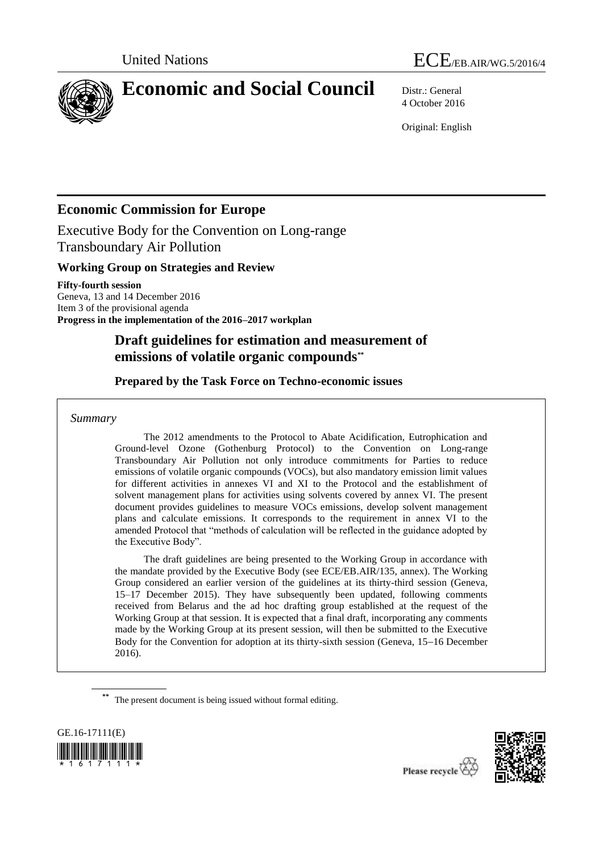



# **Economic and Social Council** Distr.: General

4 October 2016

Original: English

# **Economic Commission for Europe**

Executive Body for the Convention on Long-range Transboundary Air Pollution

### **Working Group on Strategies and Review**

**Fifty-fourth session** Geneva, 13 and 14 December 2016 Item 3 of the provisional agenda **Progress in the implementation of the 2016–2017 workplan**

# **Draft guidelines for estimation and measurement of emissions of volatile organic compounds\*\***

# **Prepared by the Task Force on Techno-economic issues**

### *Summary*

The 2012 amendments to the Protocol to Abate Acidification, Eutrophication and Ground-level Ozone (Gothenburg Protocol) to the Convention on Long-range Transboundary Air Pollution not only introduce commitments for Parties to reduce emissions of volatile organic compounds (VOCs), but also mandatory emission limit values for different activities in annexes VI and XI to the Protocol and the establishment of solvent management plans for activities using solvents covered by annex VI. The present document provides guidelines to measure VOCs emissions, develop solvent management plans and calculate emissions. It corresponds to the requirement in annex VI to the amended Protocol that "methods of calculation will be reflected in the guidance adopted by the Executive Body".

The draft guidelines are being presented to the Working Group in accordance with the mandate provided by the Executive Body (see ECE/EB.AIR/135, annex). The Working Group considered an earlier version of the guidelines at its thirty-third session (Geneva, 15–17 December 2015). They have subsequently been updated, following comments received from Belarus and the ad hoc drafting group established at the request of the Working Group at that session. It is expected that a final draft, incorporating any comments made by the Working Group at its present session, will then be submitted to the Executive Body for the Convention for adoption at its thirty-sixth session (Geneva, 15–16 December 2016).

**\*\*** The present document is being issued without formal editing.



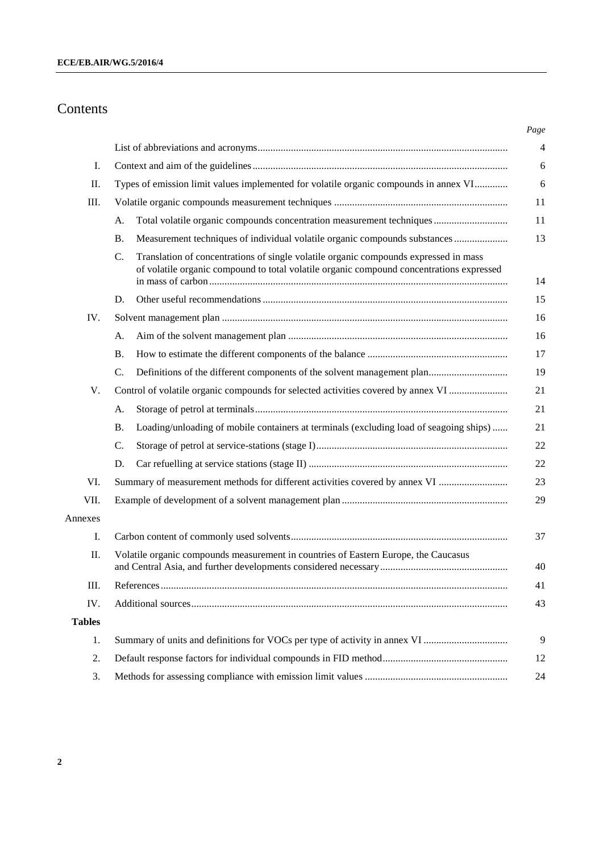# Contents

| Ι.            |                                                                                                                                                                                                    |  |  |  |
|---------------|----------------------------------------------------------------------------------------------------------------------------------------------------------------------------------------------------|--|--|--|
| П.            | Types of emission limit values implemented for volatile organic compounds in annex VI                                                                                                              |  |  |  |
| Ш.            |                                                                                                                                                                                                    |  |  |  |
|               | Total volatile organic compounds concentration measurement techniques<br>А.                                                                                                                        |  |  |  |
|               | Measurement techniques of individual volatile organic compounds substances<br>Β.                                                                                                                   |  |  |  |
|               | $\mathbf{C}$ .<br>Translation of concentrations of single volatile organic compounds expressed in mass<br>of volatile organic compound to total volatile organic compound concentrations expressed |  |  |  |
|               | D.                                                                                                                                                                                                 |  |  |  |
| IV.           |                                                                                                                                                                                                    |  |  |  |
|               | А.                                                                                                                                                                                                 |  |  |  |
|               | <b>B.</b>                                                                                                                                                                                          |  |  |  |
|               | C.                                                                                                                                                                                                 |  |  |  |
| V.            | Control of volatile organic compounds for selected activities covered by annex VI                                                                                                                  |  |  |  |
|               | А.                                                                                                                                                                                                 |  |  |  |
|               | Loading/unloading of mobile containers at terminals (excluding load of seagoing ships)<br><b>B.</b>                                                                                                |  |  |  |
|               | C.                                                                                                                                                                                                 |  |  |  |
|               | D.                                                                                                                                                                                                 |  |  |  |
| VI.           | Summary of measurement methods for different activities covered by annex VI                                                                                                                        |  |  |  |
| VII.          |                                                                                                                                                                                                    |  |  |  |
| Annexes       |                                                                                                                                                                                                    |  |  |  |
| Ι.            |                                                                                                                                                                                                    |  |  |  |
| П.            | Volatile organic compounds measurement in countries of Eastern Europe, the Caucasus                                                                                                                |  |  |  |
| III.          |                                                                                                                                                                                                    |  |  |  |
| IV.           |                                                                                                                                                                                                    |  |  |  |
| <b>Tables</b> |                                                                                                                                                                                                    |  |  |  |
| 1.            |                                                                                                                                                                                                    |  |  |  |
| 2.            |                                                                                                                                                                                                    |  |  |  |
| 3.            |                                                                                                                                                                                                    |  |  |  |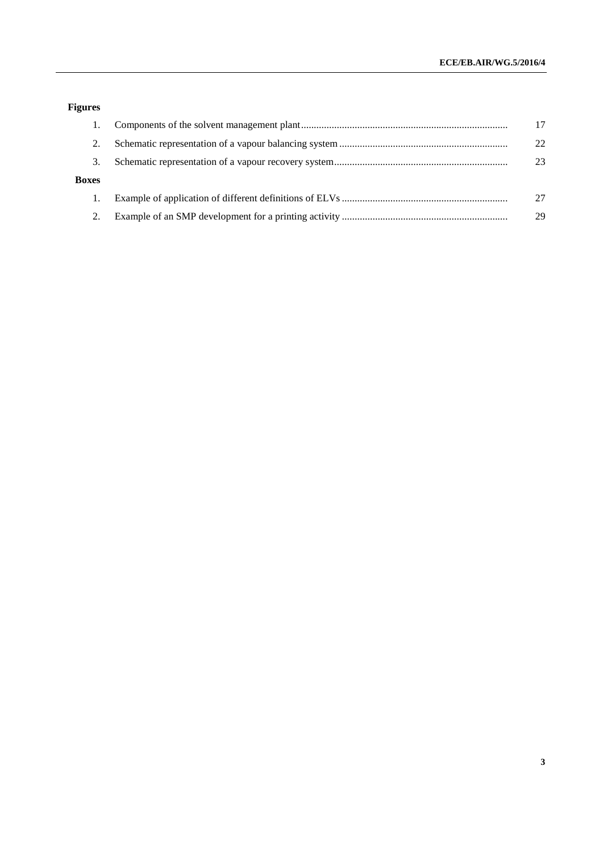# **Figures**

|              | 17 |
|--------------|----|
|              | 22 |
| 3.           | 23 |
| <b>Boxes</b> |    |
|              | 27 |
|              | 29 |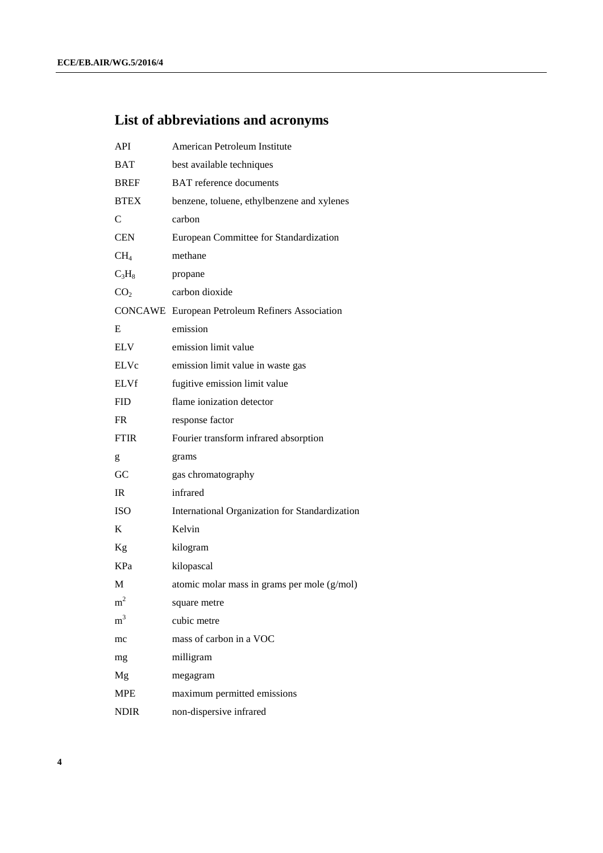# **List of abbreviations and acronyms**

| <b>API</b>      | American Petroleum Institute                           |  |  |
|-----------------|--------------------------------------------------------|--|--|
| <b>BAT</b>      | best available techniques                              |  |  |
| <b>BREF</b>     | <b>BAT</b> reference documents                         |  |  |
| <b>BTEX</b>     | benzene, toluene, ethylbenzene and xylenes             |  |  |
| $\mathsf{C}$    | carbon                                                 |  |  |
| <b>CEN</b>      | European Committee for Standardization                 |  |  |
| CH <sub>4</sub> | methane                                                |  |  |
| $C_3H_8$        | propane                                                |  |  |
| CO <sub>2</sub> | carbon dioxide                                         |  |  |
|                 | <b>CONCAWE</b> European Petroleum Refiners Association |  |  |
| Ε               | emission                                               |  |  |
| <b>ELV</b>      | emission limit value                                   |  |  |
| <b>ELVc</b>     | emission limit value in waste gas                      |  |  |
| ELVf            | fugitive emission limit value                          |  |  |
| <b>FID</b>      | flame ionization detector                              |  |  |
| <b>FR</b>       | response factor                                        |  |  |
| <b>FTIR</b>     | Fourier transform infrared absorption                  |  |  |
| g               | grams                                                  |  |  |
| GC              | gas chromatography                                     |  |  |
| IR              | infrared                                               |  |  |
| <b>ISO</b>      | International Organization for Standardization         |  |  |
| K               | Kelvin                                                 |  |  |
| Kg              | kilogram                                               |  |  |
| KPa             | kilopascal                                             |  |  |
| М               | atomic molar mass in grams per mole (g/mol)            |  |  |
| m <sup>2</sup>  | square metre                                           |  |  |
| m <sup>3</sup>  | cubic metre                                            |  |  |
| mc              | mass of carbon in a VOC                                |  |  |
| mg              | milligram                                              |  |  |
| Mg              | megagram                                               |  |  |
| <b>MPE</b>      | maximum permitted emissions                            |  |  |
| <b>NDIR</b>     | non-dispersive infrared                                |  |  |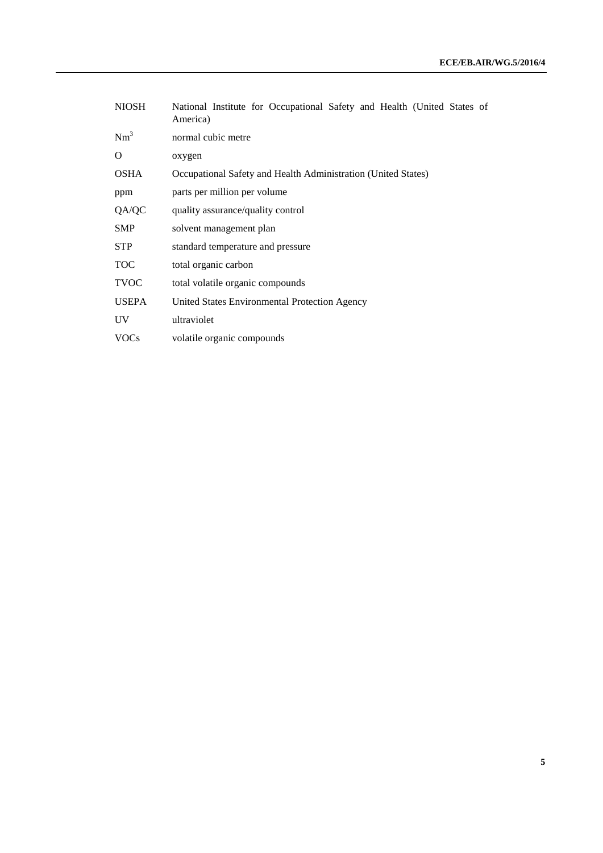| <b>NIOSH</b> | National Institute for Occupational Safety and Health (United States of<br>America) |  |  |  |
|--------------|-------------------------------------------------------------------------------------|--|--|--|
| $Nm^3$       | normal cubic metre                                                                  |  |  |  |
| O            | oxygen                                                                              |  |  |  |
| <b>OSHA</b>  | Occupational Safety and Health Administration (United States)                       |  |  |  |
| ppm          | parts per million per volume                                                        |  |  |  |
| QA/QC        | quality assurance/quality control                                                   |  |  |  |
| <b>SMP</b>   | solvent management plan                                                             |  |  |  |
| <b>STP</b>   | standard temperature and pressure                                                   |  |  |  |
| <b>TOC</b>   | total organic carbon                                                                |  |  |  |
| <b>TVOC</b>  | total volatile organic compounds                                                    |  |  |  |
| <b>USEPA</b> | United States Environmental Protection Agency                                       |  |  |  |
| UV           | ultraviolet                                                                         |  |  |  |
| VOCs         | volatile organic compounds                                                          |  |  |  |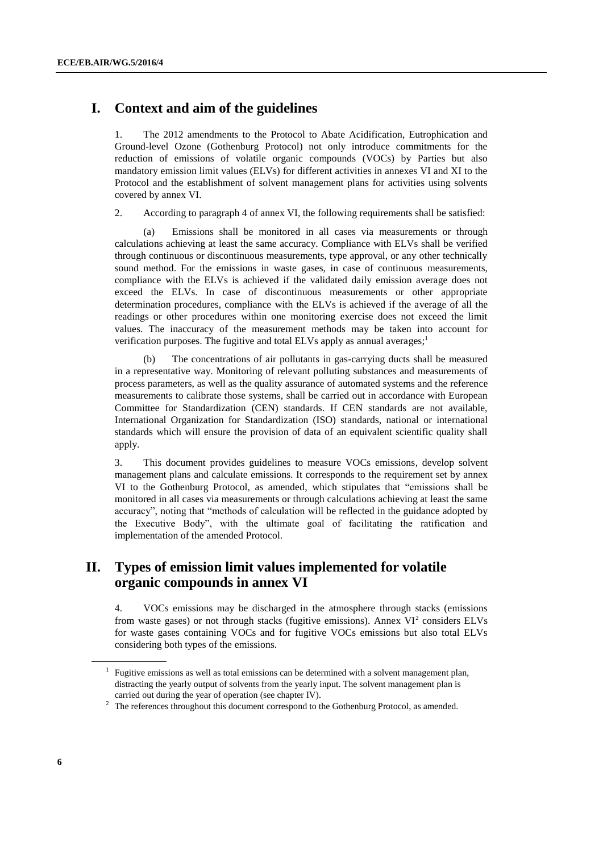## **I. Context and aim of the guidelines**

1. The 2012 amendments to the Protocol to Abate Acidification, Eutrophication and Ground-level Ozone (Gothenburg Protocol) not only introduce commitments for the reduction of emissions of volatile organic compounds (VOCs) by Parties but also mandatory emission limit values (ELVs) for different activities in annexes VI and XI to the Protocol and the establishment of solvent management plans for activities using solvents covered by annex VI.

2. According to paragraph 4 of annex VI, the following requirements shall be satisfied:

(a) Emissions shall be monitored in all cases via measurements or through calculations achieving at least the same accuracy. Compliance with ELVs shall be verified through continuous or discontinuous measurements, type approval, or any other technically sound method. For the emissions in waste gases, in case of continuous measurements, compliance with the ELVs is achieved if the validated daily emission average does not exceed the ELVs. In case of discontinuous measurements or other appropriate determination procedures, compliance with the ELVs is achieved if the average of all the readings or other procedures within one monitoring exercise does not exceed the limit values. The inaccuracy of the measurement methods may be taken into account for verification purposes. The fugitive and total ELVs apply as annual averages;<sup>1</sup>

(b) The concentrations of air pollutants in gas-carrying ducts shall be measured in a representative way. Monitoring of relevant polluting substances and measurements of process parameters, as well as the quality assurance of automated systems and the reference measurements to calibrate those systems, shall be carried out in accordance with European Committee for Standardization (CEN) standards. If CEN standards are not available, International Organization for Standardization (ISO) standards, national or international standards which will ensure the provision of data of an equivalent scientific quality shall apply.

3. This document provides guidelines to measure VOCs emissions, develop solvent management plans and calculate emissions. It corresponds to the requirement set by annex VI to the Gothenburg Protocol, as amended, which stipulates that "emissions shall be monitored in all cases via measurements or through calculations achieving at least the same accuracy", noting that "methods of calculation will be reflected in the guidance adopted by the Executive Body", with the ultimate goal of facilitating the ratification and implementation of the amended Protocol.

# **II. Types of emission limit values implemented for volatile organic compounds in annex VI**

4. VOCs emissions may be discharged in the atmosphere through stacks (emissions from waste gases) or not through stacks (fugitive emissions). Annex  $VI^2$  considers ELVs for waste gases containing VOCs and for fugitive VOCs emissions but also total ELVs considering both types of the emissions.

<sup>&</sup>lt;sup>1</sup> Fugitive emissions as well as total emissions can be determined with a solvent management plan, distracting the yearly output of solvents from the yearly input. The solvent management plan is carried out during the year of operation (see chapter IV).

 $2$  The references throughout this document correspond to the Gothenburg Protocol, as amended.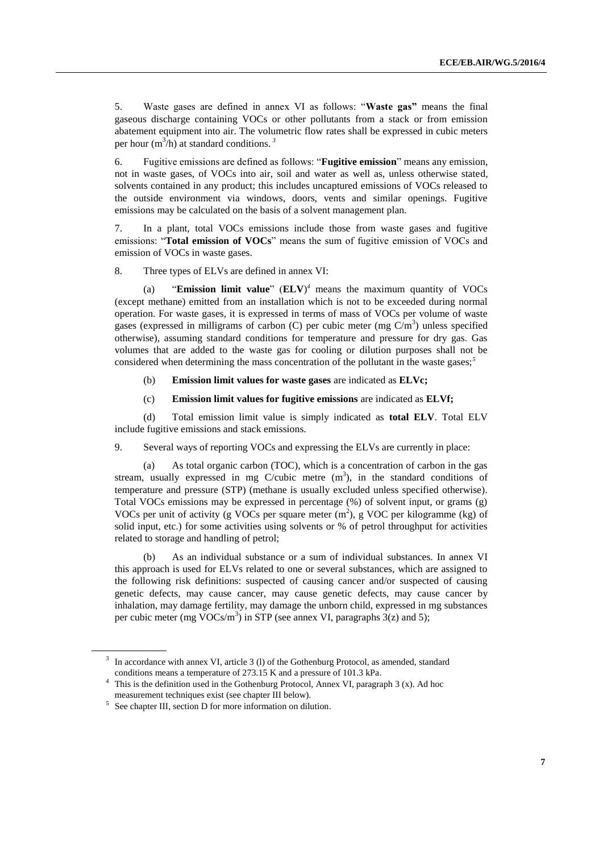5. Waste gases are defined in annex VI as follows: "**Waste gas"** means the final gaseous discharge containing VOCs or other pollutants from a stack or from emission abatement equipment into air. The volumetric flow rates shall be expressed in cubic meters per hour  $(m^3/h)$  at standard conditions.<sup>3</sup>

6. Fugitive emissions are defined as follows: "**Fugitive emission**" means any emission, not in waste gases, of VOCs into air, soil and water as well as, unless otherwise stated, solvents contained in any product; this includes uncaptured emissions of VOCs released to the outside environment via windows, doors, vents and similar openings. Fugitive emissions may be calculated on the basis of a solvent management plan.

7. In a plant, total VOCs emissions include those from waste gases and fugitive emissions: "**Total emission of VOCs**" means the sum of fugitive emission of VOCs and emission of VOCs in waste gases.

8. Three types of ELVs are defined in annex VI:

(a) "**Emission limit value**" (**ELV**) *<sup>4</sup>* means the maximum quantity of VOCs (except methane) emitted from an installation which is not to be exceeded during normal operation. For waste gases, it is expressed in terms of mass of VOCs per volume of waste gases (expressed in milligrams of carbon (C) per cubic meter (mg  $C/m<sup>3</sup>$ ) unless specified otherwise), assuming standard conditions for temperature and pressure for dry gas. Gas volumes that are added to the waste gas for cooling or dilution purposes shall not be considered when determining the mass concentration of the pollutant in the waste gases;*<sup>5</sup>*

(b) **Emission limit values for waste gases** are indicated as **ELVc;** 

(c) **Emission limit values for fugitive emissions** are indicated as **ELVf;**

(d) Total emission limit value is simply indicated as **total ELV**. Total ELV include fugitive emissions and stack emissions.

9. Several ways of reporting VOCs and expressing the ELVs are currently in place:

(a) As total organic carbon (TOC), which is a concentration of carbon in the gas stream, usually expressed in mg C/cubic metre  $(m<sup>3</sup>)$ , in the standard conditions of temperature and pressure (STP) (methane is usually excluded unless specified otherwise). Total VOCs emissions may be expressed in percentage (%) of solvent input, or grams (g) VOCs per unit of activity (g VOCs per square meter  $(m^2)$ , g VOC per kilogramme (kg) of solid input, etc.) for some activities using solvents or % of petrol throughput for activities related to storage and handling of petrol;

(b) As an individual substance or a sum of individual substances. In annex VI this approach is used for ELVs related to one or several substances, which are assigned to the following risk definitions: suspected of causing cancer and/or suspected of causing genetic defects, may cause cancer, may cause genetic defects, may cause cancer by inhalation, may damage fertility, may damage the unborn child, expressed in mg substances per cubic meter (mg VOCs/m<sup>3</sup>) in STP (see annex VI, paragraphs  $3(z)$  and 5);

<sup>&</sup>lt;sup>3</sup> In accordance with annex VI, article 3 (1) of the Gothenburg Protocol, as amended, standard conditions means a temperature of 273.15 K and a pressure of 101.3 kPa.

<sup>&</sup>lt;sup>4</sup> This is the definition used in the Gothenburg Protocol, Annex VI, paragraph 3 (x). Ad hoc measurement techniques exist (see chapter III below).

<sup>&</sup>lt;sup>5</sup> See chapter III, section D for more information on dilution.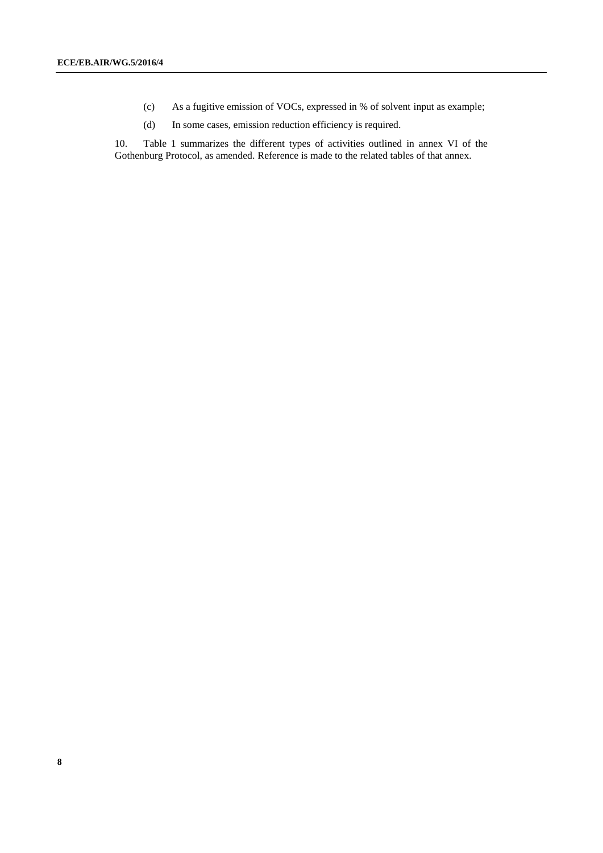- (c) As a fugitive emission of VOCs, expressed in % of solvent input as example;
- (d) In some cases, emission reduction efficiency is required.

10. Table 1 summarizes the different types of activities outlined in annex VI of the Gothenburg Protocol, as amended. Reference is made to the related tables of that annex.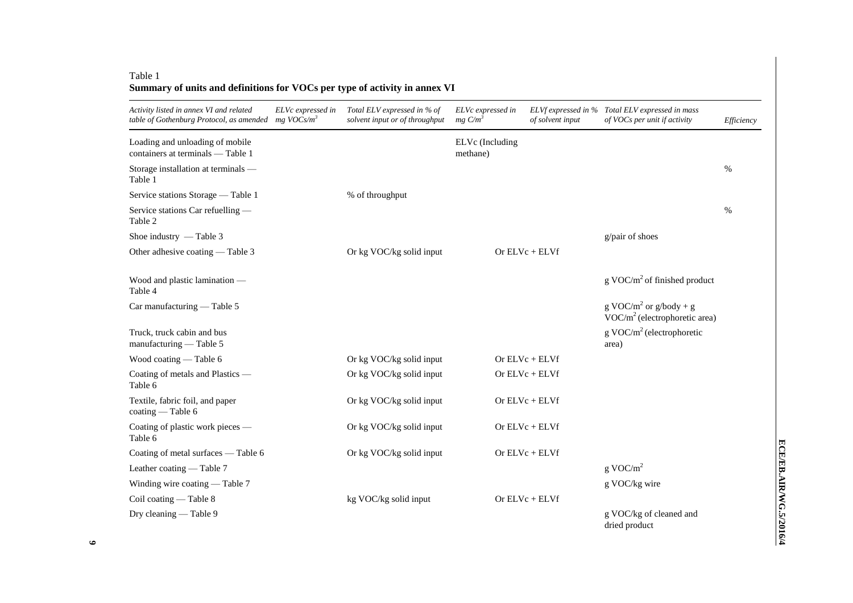### Table 1 **Summary of units and definitions for VOCs per type of activity in annex VI**

| Activity listed in annex VI and related<br>table of Gothenburg Protocol, as amended mg VOCs/m <sup>3</sup> | ELVc expressed in | Total ELV expressed in % of<br>solvent input or of throughput | ELVc expressed in<br>$mg \thinspace C/m^3$ | of solvent input | ELVf expressed in % Total ELV expressed in mass<br>of VOCs per unit if activity | Efficiency |
|------------------------------------------------------------------------------------------------------------|-------------------|---------------------------------------------------------------|--------------------------------------------|------------------|---------------------------------------------------------------------------------|------------|
| Loading and unloading of mobile<br>containers at terminals — Table 1                                       |                   |                                                               | ELVc (Including<br>methane)                |                  |                                                                                 |            |
| Storage installation at terminals —<br>Table 1                                                             |                   |                                                               |                                            |                  |                                                                                 | $\%$       |
| Service stations Storage - Table 1                                                                         |                   | % of throughput                                               |                                            |                  |                                                                                 |            |
| Service stations Car refuelling -<br>Table 2                                                               |                   |                                                               |                                            |                  |                                                                                 | $\%$       |
| Shoe industry - Table 3                                                                                    |                   |                                                               |                                            |                  | g/pair of shoes                                                                 |            |
| Other adhesive coating — Table 3                                                                           |                   | Or kg VOC/kg solid input                                      |                                            | Or $ELVc + ELVf$ |                                                                                 |            |
| Wood and plastic lamination —<br>Table 4                                                                   |                   |                                                               |                                            |                  | $g$ VOC/m <sup>2</sup> of finished product                                      |            |
| Car manufacturing - Table 5                                                                                |                   |                                                               |                                            |                  | g VOC/m <sup>2</sup> or g/body + g<br>$VOC/m2$ (electrophoretic area)           |            |
| Truck, truck cabin and bus<br>manufacturing - Table 5                                                      |                   |                                                               |                                            |                  | $g \text{VOC/m}^2$ (electrophoretic<br>area)                                    |            |
| Wood coating — Table 6                                                                                     |                   | Or kg VOC/kg solid input                                      |                                            | Or $ELVc + ELVf$ |                                                                                 |            |
| Coating of metals and Plastics -<br>Table 6                                                                |                   | Or kg VOC/kg solid input                                      |                                            | Or $ELVc + ELVf$ |                                                                                 |            |
| Textile, fabric foil, and paper<br>$\text{coating} - \text{Table 6}$                                       |                   | Or kg VOC/kg solid input                                      |                                            | Or $ELVc + ELVf$ |                                                                                 |            |
| Coating of plastic work pieces —<br>Table 6                                                                |                   | Or kg VOC/kg solid input                                      |                                            | Or $ELVc + ELVf$ |                                                                                 |            |
| Coating of metal surfaces - Table 6                                                                        |                   | Or kg VOC/kg solid input                                      |                                            | Or $ELVc + ELVf$ |                                                                                 |            |
| Leather coating — Table 7                                                                                  |                   |                                                               |                                            |                  | $g \text{ VOC/m}^2$                                                             |            |
| Winding wire coating — Table 7                                                                             |                   |                                                               |                                            |                  | g VOC/kg wire                                                                   |            |
| Coil coating - Table 8                                                                                     |                   | kg VOC/kg solid input                                         |                                            | Or $ELVc + ELVf$ |                                                                                 |            |
| Dry cleaning - Table 9                                                                                     |                   |                                                               |                                            |                  | g VOC/kg of cleaned and<br>dried product                                        |            |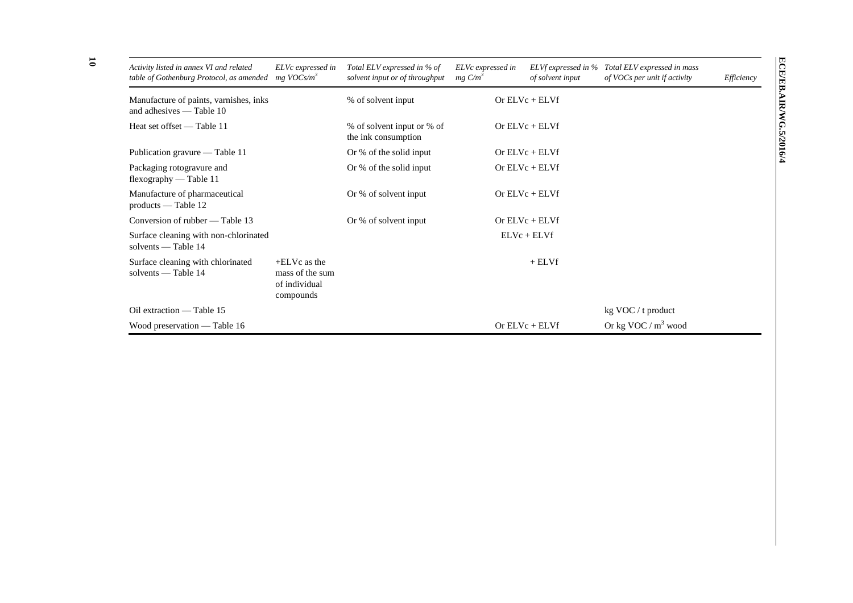| Activity listed in annex VI and related<br>table of Gothenburg Protocol, as amended | ELVc expressed in<br>$mg\ VOCs/m^3$                               | Total ELV expressed in % of<br>solvent input or of throughput | ELVc expressed in<br>$mg \, C/m^3$ | ELVf expressed in %<br>of solvent input | Total ELV expressed in mass<br>of VOCs per unit if activity | Efficiency |
|-------------------------------------------------------------------------------------|-------------------------------------------------------------------|---------------------------------------------------------------|------------------------------------|-----------------------------------------|-------------------------------------------------------------|------------|
| Manufacture of paints, varnishes, inks<br>and adhesives $-$ Table 10                |                                                                   | % of solvent input                                            |                                    | Or $ELVc + ELVf$                        |                                                             |            |
| Heat set offset — Table 11                                                          |                                                                   | % of solvent input or % of<br>the ink consumption             |                                    | Or $ELVc + ELVf$                        |                                                             |            |
| Publication gravure — Table 11                                                      |                                                                   | Or % of the solid input                                       |                                    | Or $ELVc + ELVf$                        |                                                             |            |
| Packaging rotogravure and<br>flexography — Table 11                                 |                                                                   | Or % of the solid input                                       |                                    | Or $ELVc + ELVf$                        |                                                             |            |
| Manufacture of pharmaceutical<br>$products$ - Table 12                              |                                                                   | Or % of solvent input                                         |                                    | Or $ELVc + ELVf$                        |                                                             |            |
| Conversion of rubber — Table 13                                                     |                                                                   | Or % of solvent input                                         |                                    | Or $ELVc + ELVf$                        |                                                             |            |
| Surface cleaning with non-chlorinated<br>solvents — Table 14                        |                                                                   |                                                               |                                    | $ELVc + ELVf$                           |                                                             |            |
| Surface cleaning with chlorinated<br>solvents $-$ Table 14                          | $+E L Vc$ as the<br>mass of the sum<br>of individual<br>compounds |                                                               |                                    | $+$ ELVf                                |                                                             |            |
| Oil extraction — Table 15                                                           |                                                                   |                                                               |                                    |                                         | $kg$ VOC / t product                                        |            |
| Wood preservation — Table 16                                                        |                                                                   |                                                               |                                    | Or $ELVc + ELVf$                        | Or kg VOC / $m^3$ wood                                      |            |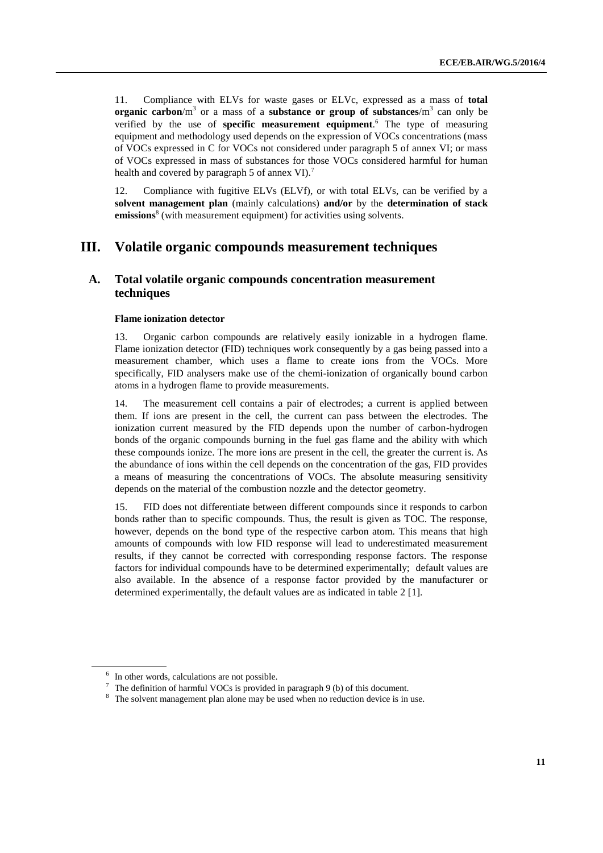11. Compliance with ELVs for waste gases or ELVc, expressed as a mass of **total organic carbon**/m<sup>3</sup> or a mass of a **substance or group of substances**/m<sup>3</sup> can only be verified by the use of **specific measurement equipment**. <sup>6</sup> The type of measuring equipment and methodology used depends on the expression of VOCs concentrations (mass of VOCs expressed in C for VOCs not considered under paragraph 5 of annex VI; or mass of VOCs expressed in mass of substances for those VOCs considered harmful for human health and covered by paragraph 5 of annex VI).<sup>7</sup>

12. Compliance with fugitive ELVs (ELVf), or with total ELVs, can be verified by a **solvent management plan** (mainly calculations) **and/or** by the **determination of stack**  emissions<sup>8</sup> (with measurement equipment) for activities using solvents.

### **III. Volatile organic compounds measurement techniques**

### **A. Total volatile organic compounds concentration measurement techniques**

#### **Flame ionization detector**

13. Organic carbon compounds are relatively easily ionizable in a hydrogen flame. Flame ionization detector (FID) techniques work consequently by a gas being passed into a measurement chamber, which uses a flame to create ions from the VOCs. More specifically, FID analysers make use of the chemi-ionization of organically bound carbon atoms in a hydrogen flame to provide measurements.

14. The measurement cell contains a pair of electrodes; a current is applied between them. If ions are present in the cell, the current can pass between the electrodes. The ionization current measured by the FID depends upon the number of carbon-hydrogen bonds of the organic compounds burning in the fuel gas flame and the ability with which these compounds ionize. The more ions are present in the cell, the greater the current is. As the abundance of ions within the cell depends on the concentration of the gas, FID provides a means of measuring the concentrations of VOCs. The absolute measuring sensitivity depends on the material of the combustion nozzle and the detector geometry.

15. FID does not differentiate between different compounds since it responds to carbon bonds rather than to specific compounds. Thus, the result is given as TOC. The response, however, depends on the bond type of the respective carbon atom. This means that high amounts of compounds with low FID response will lead to underestimated measurement results, if they cannot be corrected with corresponding response factors. The response factors for individual compounds have to be determined experimentally; default values are also available. In the absence of a response factor provided by the manufacturer or determined experimentally, the default values are as indicated in table 2 [1].

<sup>&</sup>lt;sup>6</sup> In other words, calculations are not possible.

<sup>&</sup>lt;sup>7</sup> The definition of harmful VOCs is provided in paragraph 9 (b) of this document.

<sup>&</sup>lt;sup>8</sup> The solvent management plan alone may be used when no reduction device is in use.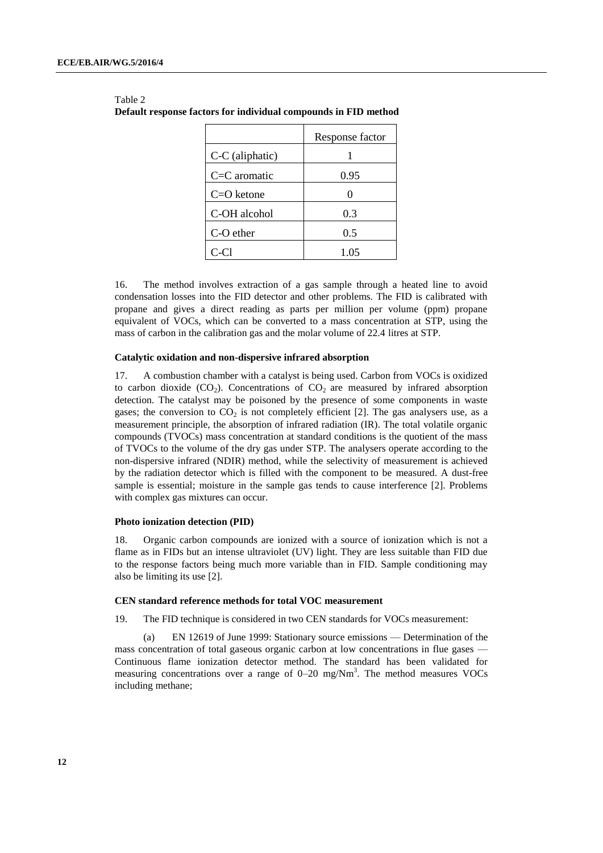|                 | Response factor |
|-----------------|-----------------|
| C-C (aliphatic) |                 |
| $C=C$ aromatic  | 0.95            |
| $C = O$ ketone  |                 |
| C-OH alcohol    | 0.3             |
| C-O ether       | 0.5             |
| C-C1            | 1.05            |

| Table 2<br>Default response factors for individual compounds in FID method |  |
|----------------------------------------------------------------------------|--|
|                                                                            |  |

16. The method involves extraction of a gas sample through a heated line to avoid condensation losses into the FID detector and other problems. The FID is calibrated with propane and gives a direct reading as parts per million per volume (ppm) propane equivalent of VOCs, which can be converted to a mass concentration at STP, using the mass of carbon in the calibration gas and the molar volume of 22.4 litres at STP.

#### **Catalytic oxidation and non-dispersive infrared absorption**

17. A combustion chamber with a catalyst is being used. Carbon from VOCs is oxidized to carbon dioxide  $(CO_2)$ . Concentrations of  $CO_2$  are measured by infrared absorption detection. The catalyst may be poisoned by the presence of some components in waste gases; the conversion to  $CO<sub>2</sub>$  is not completely efficient [2]. The gas analysers use, as a measurement principle, the absorption of infrared radiation (IR). The total volatile organic compounds (TVOCs) mass concentration at standard conditions is the quotient of the mass of TVOCs to the volume of the dry gas under STP. The analysers operate according to the non-dispersive infrared (NDIR) method, while the selectivity of measurement is achieved by the radiation detector which is filled with the component to be measured. A dust-free sample is essential; moisture in the sample gas tends to cause interference [2]. Problems with complex gas mixtures can occur.

#### **Photo ionization detection (PID)**

18. Organic carbon compounds are ionized with a source of ionization which is not a flame as in FIDs but an intense ultraviolet (UV) light. They are less suitable than FID due to the response factors being much more variable than in FID. Sample conditioning may also be limiting its use [2].

#### **CEN standard reference methods for total VOC measurement**

19. The FID technique is considered in two CEN standards for VOCs measurement:

(a) EN 12619 of June 1999: Stationary source emissions — Determination of the mass concentration of total gaseous organic carbon at low concentrations in flue gases — Continuous flame ionization detector method. The standard has been validated for measuring concentrations over a range of  $0-20$  mg/Nm<sup>3</sup>. The method measures VOCs including methane;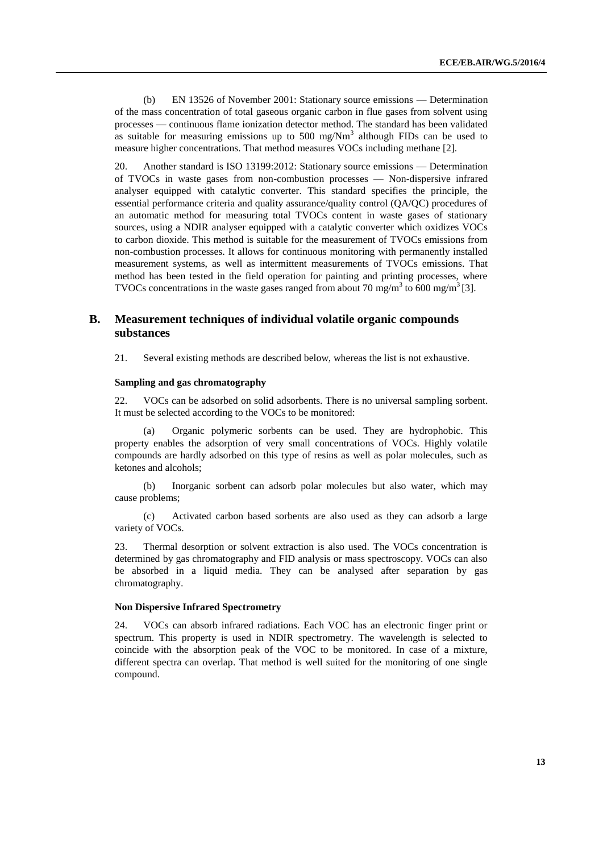(b) EN 13526 of November 2001: Stationary source emissions — Determination of the mass concentration of total gaseous organic carbon in flue gases from solvent using processes — continuous flame ionization detector method. The standard has been validated as suitable for measuring emissions up to 500 mg/ $Nm<sup>3</sup>$  although FIDs can be used to measure higher concentrations. That method measures VOCs including methane [2].

20. Another standard is ISO 13199:2012: Stationary source emissions — Determination of TVOCs in waste gases from non-combustion processes — Non-dispersive infrared analyser equipped with catalytic converter. This standard specifies the principle, the essential performance criteria and quality assurance/quality control (QA/QC) procedures of an automatic method for measuring total TVOCs content in waste gases of stationary sources, using a NDIR analyser equipped with a catalytic converter which oxidizes VOCs to carbon dioxide. This method is suitable for the measurement of TVOCs emissions from non-combustion processes. It allows for continuous monitoring with permanently installed measurement systems, as well as intermittent measurements of TVOCs emissions. That method has been tested in the field operation for painting and printing processes, where TVOCs concentrations in the waste gases ranged from about 70 mg/m<sup>3</sup> to 600 mg/m<sup>3</sup> [3].

### **B. Measurement techniques of individual volatile organic compounds substances**

21. Several existing methods are described below, whereas the list is not exhaustive.

#### **Sampling and gas chromatography**

22. VOCs can be adsorbed on solid adsorbents. There is no universal sampling sorbent. It must be selected according to the VOCs to be monitored:

(a) Organic polymeric sorbents can be used. They are hydrophobic. This property enables the adsorption of very small concentrations of VOCs. Highly volatile compounds are hardly adsorbed on this type of resins as well as polar molecules, such as ketones and alcohols;

(b) Inorganic sorbent can adsorb polar molecules but also water, which may cause problems;

(c) Activated carbon based sorbents are also used as they can adsorb a large variety of VOCs.

23. Thermal desorption or solvent extraction is also used. The VOCs concentration is determined by gas chromatography and FID analysis or mass spectroscopy. VOCs can also be absorbed in a liquid media. They can be analysed after separation by gas chromatography.

#### **Non Dispersive Infrared Spectrometry**

24. VOCs can absorb infrared radiations. Each VOC has an electronic finger print or spectrum. This property is used in NDIR spectrometry. The wavelength is selected to coincide with the absorption peak of the VOC to be monitored. In case of a mixture, different spectra can overlap. That method is well suited for the monitoring of one single compound.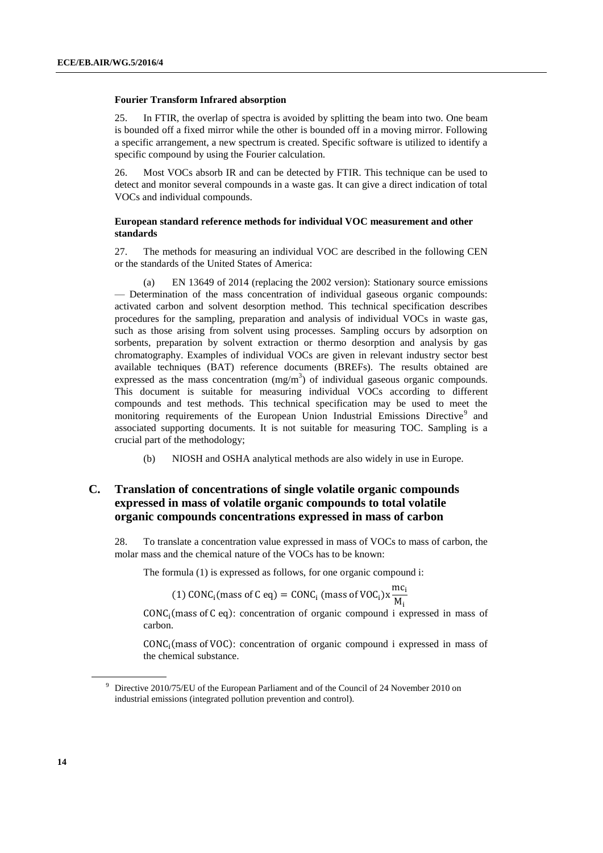#### **Fourier Transform Infrared absorption**

25. In FTIR, the overlap of spectra is avoided by splitting the beam into two. One beam is bounded off a fixed mirror while the other is bounded off in a moving mirror. Following a specific arrangement, a new spectrum is created. Specific software is utilized to identify a specific compound by using the Fourier calculation.

26. Most VOCs absorb IR and can be detected by FTIR. This technique can be used to detect and monitor several compounds in a waste gas. It can give a direct indication of total VOCs and individual compounds.

#### **European standard reference methods for individual VOC measurement and other standards**

27. The methods for measuring an individual VOC are described in the following CEN or the standards of the United States of America:

(a) EN 13649 of 2014 (replacing the 2002 version): Stationary source emissions — Determination of the mass concentration of individual gaseous organic compounds: activated carbon and solvent desorption method. This technical specification describes procedures for the sampling, preparation and analysis of individual VOCs in waste gas, such as those arising from solvent using processes. Sampling occurs by adsorption on sorbents, preparation by solvent extraction or thermo desorption and analysis by gas chromatography. Examples of individual VOCs are given in relevant industry sector best available techniques (BAT) reference documents (BREFs). The results obtained are expressed as the mass concentration  $(mg/m<sup>3</sup>)$  of individual gaseous organic compounds. This document is suitable for measuring individual VOCs according to different compounds and test methods. This technical specification may be used to meet the monitoring requirements of the European Union Industrial Emissions Directive<sup>9</sup> and associated supporting documents. It is not suitable for measuring TOC. Sampling is a crucial part of the methodology;

(b) NIOSH and OSHA analytical methods are also widely in use in Europe.

### **C. Translation of concentrations of single volatile organic compounds expressed in mass of volatile organic compounds to total volatile organic compounds concentrations expressed in mass of carbon**

28. To translate a concentration value expressed in mass of VOCs to mass of carbon, the molar mass and the chemical nature of the VOCs has to be known:

The formula (1) is expressed as follows, for one organic compound i:

(1) CONC<sub>i</sub>(mass of C eq) = CONC<sub>i</sub> (mass of VOC<sub>i</sub>)
$$
x \frac{mC_i}{M_i}
$$

CONC<sup>i</sup> (mass of C eq): concentration of organic compound i expressed in mass of carbon.

 $\mathbf{m}$ ci

CONC<sup>i</sup> (mass of VOC): concentration of organic compound i expressed in mass of the chemical substance.

<sup>9</sup> Directive 2010/75/EU of the European Parliament and of the Council of 24 November 2010 on industrial emissions (integrated pollution prevention and control).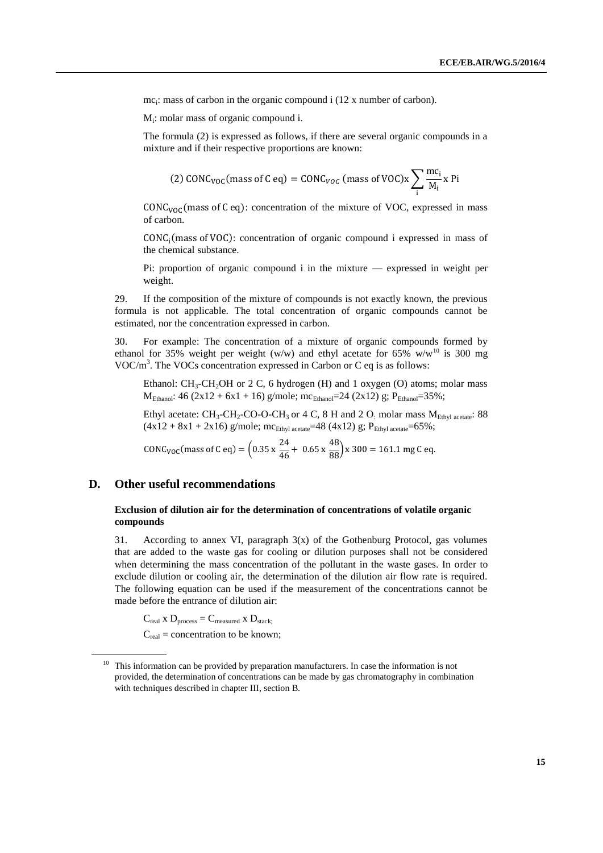mc<sub>i</sub>: mass of carbon in the organic compound i (12 x number of carbon).

Mi : molar mass of organic compound i.

The formula (2) is expressed as follows, if there are several organic compounds in a mixture and if their respective proportions are known:

(2) CONC<sub>VOC</sub>(mass of C eq) = CONC<sub>VOC</sub> (mass of VOC)x 
$$
\sum_i \frac{mc_i}{M_i} x
$$
 Pi

 $CONC<sub>VOC</sub>$ (mass of C eq): concentration of the mixture of VOC, expressed in mass of carbon.

 $CONC<sub>i</sub>(mass of VOC):$  concentration of organic compound i expressed in mass of the chemical substance.

Pi: proportion of organic compound i in the mixture — expressed in weight per weight.

29. If the composition of the mixture of compounds is not exactly known, the previous formula is not applicable. The total concentration of organic compounds cannot be estimated, nor the concentration expressed in carbon.

30. For example: The concentration of a mixture of organic compounds formed by ethanol for 35% weight per weight (w/w) and ethyl acetate for 65% w/w<sup>10</sup> is 300 mg VOC/ $m<sup>3</sup>$ . The VOCs concentration expressed in Carbon or C eq is as follows:

Ethanol:  $CH_3$ -CH<sub>2</sub>OH or 2 C, 6 hydrogen (H) and 1 oxygen (O) atoms; molar mass M<sub>Ethanol</sub>: 46 (2x12 + 6x1 + 16) g/mole; mc<sub>Ethanol</sub>=24 (2x12) g; P<sub>Ethanol</sub>=35%;

Ethyl acetate:  $CH_3-CH_2-CO-O-CH_3$  or 4 C, 8 H and 2 O: molar mass  $M_{Ethyl\, acetate}$ : 88  $(4x12 + 8x1 + 2x16)$  g/mole; mc<sub>Ethyl acetate</sub>=48 (4x12) g; P<sub>Ethyl acetate</sub>=65%;

CONC<sub>VOC</sub>(mass of C eq) =  $\left(0.35 \times \frac{24}{46} + 0.65 \times \frac{48}{88}\right) \times 300 = 161.1$  mg C eq.

### **D. Other useful recommendations**

#### **Exclusion of dilution air for the determination of concentrations of volatile organic compounds**

31. According to annex VI, paragraph  $3(x)$  of the Gothenburg Protocol, gas volumes that are added to the waste gas for cooling or dilution purposes shall not be considered when determining the mass concentration of the pollutant in the waste gases. In order to exclude dilution or cooling air, the determination of the dilution air flow rate is required. The following equation can be used if the measurement of the concentrations cannot be made before the entrance of dilution air:

 $C_{\text{real}}$  x  $D_{\text{process}} = C_{\text{measured}}$  x  $D_{\text{stack}}$ ;  $C_{\text{real}}$  = concentration to be known;

<sup>&</sup>lt;sup>10</sup> This information can be provided by preparation manufacturers. In case the information is not provided, the determination of concentrations can be made by gas chromatography in combination with techniques described in chapter III, section B.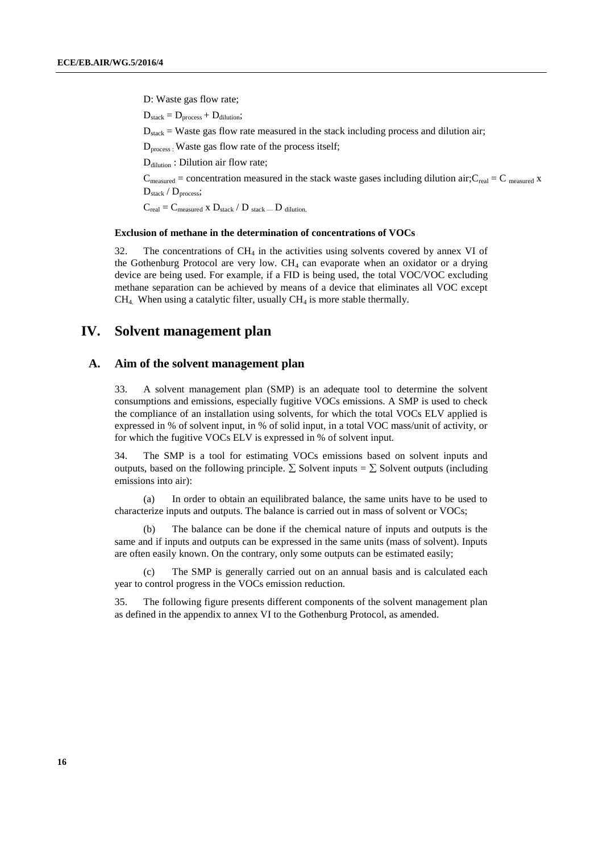D: Waste gas flow rate;  $D_{stack} = D_{process} + D_{dilution};$  $D_{\text{stack}} = W$ aste gas flow rate measured in the stack including process and dilution air; D<sub>process</sub>: Waste gas flow rate of the process itself; D<sub>dilution</sub>: Dilution air flow rate;  $C_{\text{measured}} =$  concentration measured in the stack waste gases including dilution air; $C_{\text{real}} = C_{\text{measured}}$  x D<sub>stack</sub> / D<sub>process</sub>;

 $C_{\text{real}} = C_{\text{measured}} \times D_{\text{stack}} / D_{\text{stack}} - D_{\text{dilution}}$ 

#### **Exclusion of methane in the determination of concentrations of VOCs**

32. The concentrations of  $CH_4$  in the activities using solvents covered by annex VI of the Gothenburg Protocol are very low.  $CH<sub>4</sub>$  can evaporate when an oxidator or a drying device are being used. For example, if a FID is being used, the total VOC/VOC excluding methane separation can be achieved by means of a device that eliminates all VOC except  $CH<sub>4</sub>$ . When using a catalytic filter, usually  $CH<sub>4</sub>$  is more stable thermally.

## **IV. Solvent management plan**

#### **A. Aim of the solvent management plan**

33. A solvent management plan (SMP) is an adequate tool to determine the solvent consumptions and emissions, especially fugitive VOCs emissions. A SMP is used to check the compliance of an installation using solvents, for which the total VOCs ELV applied is expressed in % of solvent input, in % of solid input, in a total VOC mass/unit of activity, or for which the fugitive VOCs ELV is expressed in % of solvent input.

34. The SMP is a tool for estimating VOCs emissions based on solvent inputs and outputs, based on the following principle.  $\Sigma$  Solvent inputs =  $\Sigma$  Solvent outputs (including emissions into air):

(a) In order to obtain an equilibrated balance, the same units have to be used to characterize inputs and outputs. The balance is carried out in mass of solvent or VOCs;

(b) The balance can be done if the chemical nature of inputs and outputs is the same and if inputs and outputs can be expressed in the same units (mass of solvent). Inputs are often easily known. On the contrary, only some outputs can be estimated easily;

(c) The SMP is generally carried out on an annual basis and is calculated each year to control progress in the VOCs emission reduction.

35. The following figure presents different components of the solvent management plan as defined in the appendix to annex VI to the Gothenburg Protocol, as amended.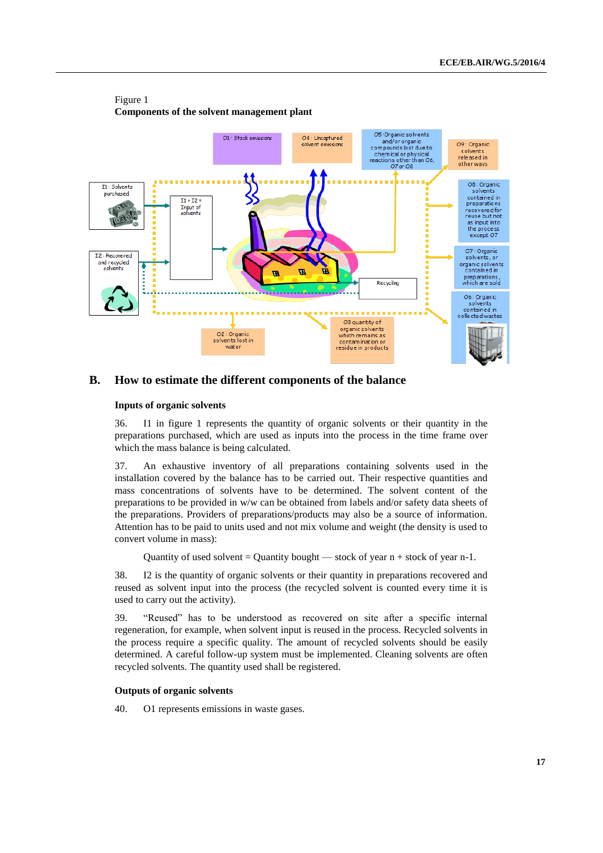

#### Figure 1 **Components of the solvent management plant**

#### **B. How to estimate the different components of the balance**

#### **Inputs of organic solvents**

36. I1 in figure 1 represents the quantity of organic solvents or their quantity in the preparations purchased, which are used as inputs into the process in the time frame over which the mass balance is being calculated.

37. An exhaustive inventory of all preparations containing solvents used in the installation covered by the balance has to be carried out. Their respective quantities and mass concentrations of solvents have to be determined. The solvent content of the preparations to be provided in w/w can be obtained from labels and/or safety data sheets of the preparations. Providers of preparations/products may also be a source of information. Attention has to be paid to units used and not mix volume and weight (the density is used to convert volume in mass):

Quantity of used solvent = Quantity bought — stock of year  $n +$  stock of year n-1.

38. I2 is the quantity of organic solvents or their quantity in preparations recovered and reused as solvent input into the process (the recycled solvent is counted every time it is used to carry out the activity).

39. "Reused" has to be understood as recovered on site after a specific internal regeneration, for example, when solvent input is reused in the process. Recycled solvents in the process require a specific quality. The amount of recycled solvents should be easily determined. A careful follow-up system must be implemented. Cleaning solvents are often recycled solvents. The quantity used shall be registered.

#### **Outputs of organic solvents**

40. O1 represents emissions in waste gases.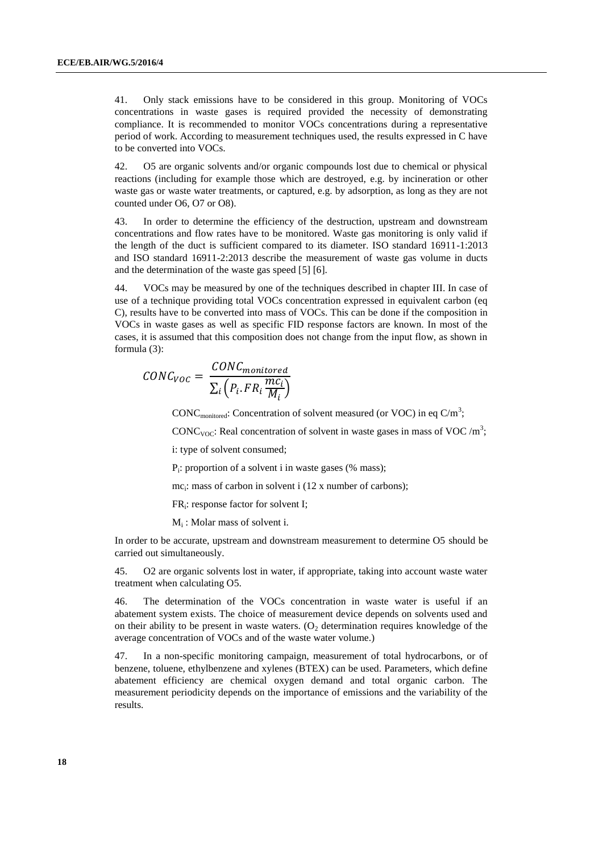41. Only stack emissions have to be considered in this group. Monitoring of VOCs concentrations in waste gases is required provided the necessity of demonstrating compliance. It is recommended to monitor VOCs concentrations during a representative period of work. According to measurement techniques used, the results expressed in C have to be converted into VOCs.

42. O5 are organic solvents and/or organic compounds lost due to chemical or physical reactions (including for example those which are destroyed, e.g. by incineration or other waste gas or waste water treatments, or captured, e.g. by adsorption, as long as they are not counted under O6, O7 or O8).

43. In order to determine the efficiency of the destruction, upstream and downstream concentrations and flow rates have to be monitored. Waste gas monitoring is only valid if the length of the duct is sufficient compared to its diameter. ISO standard 16911-1:2013 and ISO standard 16911-2:2013 describe the measurement of waste gas volume in ducts and the determination of the waste gas speed [5] [6].

44. VOCs may be measured by one of the techniques described in chapter III. In case of use of a technique providing total VOCs concentration expressed in equivalent carbon (eq C), results have to be converted into mass of VOCs. This can be done if the composition in VOCs in waste gases as well as specific FID response factors are known. In most of the cases, it is assumed that this composition does not change from the input flow, as shown in formula (3):

$$
CONC_{VOC} = \frac{CONC_{monitored}}{\sum_{i} \left(P_i.FR_i \frac{mc_i}{M_i}\right)}
$$

CONC<sub>monitored</sub>: Concentration of solvent measured (or VOC) in eq C/m<sup>3</sup>;

CONC<sub>VOC</sub>: Real concentration of solvent in waste gases in mass of VOC/m<sup>3</sup>;

i: type of solvent consumed;

Pi : proportion of a solvent i in waste gases (% mass);

mc<sub>i</sub>: mass of carbon in solvent i (12 x number of carbons);

FR<sup>i</sup> : response factor for solvent I;

Mi : Molar mass of solvent i.

In order to be accurate, upstream and downstream measurement to determine O5 should be carried out simultaneously.

45. O2 are organic solvents lost in water, if appropriate, taking into account waste water treatment when calculating O5.

46. The determination of the VOCs concentration in waste water is useful if an abatement system exists. The choice of measurement device depends on solvents used and on their ability to be present in waste waters. (O<sub>2</sub> determination requires knowledge of the average concentration of VOCs and of the waste water volume.)

47. In a non-specific monitoring campaign, measurement of total hydrocarbons, or of benzene, toluene, ethylbenzene and xylenes (BTEX) can be used. Parameters, which define abatement efficiency are chemical oxygen demand and total organic carbon. The measurement periodicity depends on the importance of emissions and the variability of the results.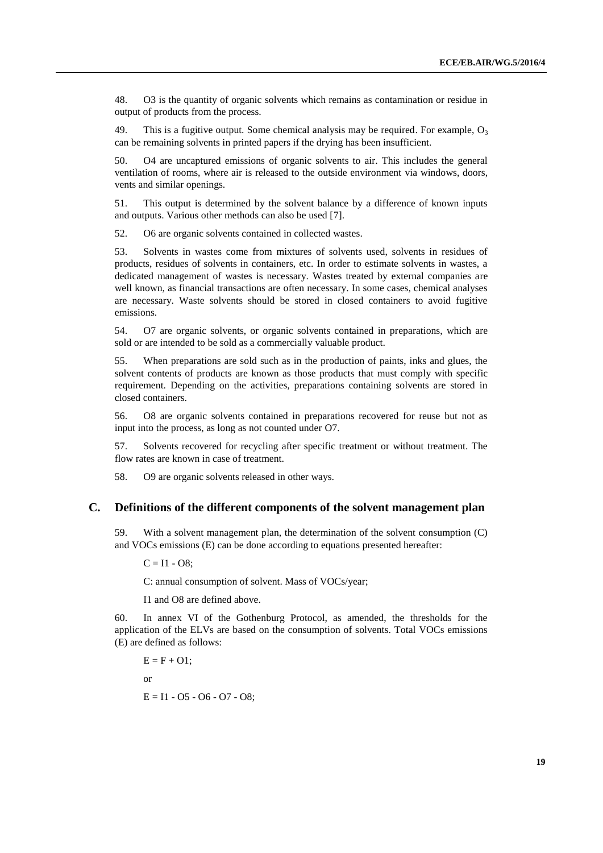48. O3 is the quantity of organic solvents which remains as contamination or residue in output of products from the process.

49. This is a fugitive output. Some chemical analysis may be required. For example,  $O_3$ can be remaining solvents in printed papers if the drying has been insufficient.

50. O4 are uncaptured emissions of organic solvents to air. This includes the general ventilation of rooms, where air is released to the outside environment via windows, doors, vents and similar openings.

51. This output is determined by the solvent balance by a difference of known inputs and outputs. Various other methods can also be used [7].

52. O6 are organic solvents contained in collected wastes.

53. Solvents in wastes come from mixtures of solvents used, solvents in residues of products, residues of solvents in containers, etc. In order to estimate solvents in wastes, a dedicated management of wastes is necessary. Wastes treated by external companies are well known, as financial transactions are often necessary. In some cases, chemical analyses are necessary. Waste solvents should be stored in closed containers to avoid fugitive emissions.

54. O7 are organic solvents, or organic solvents contained in preparations, which are sold or are intended to be sold as a commercially valuable product.

55. When preparations are sold such as in the production of paints, inks and glues, the solvent contents of products are known as those products that must comply with specific requirement. Depending on the activities, preparations containing solvents are stored in closed containers.

56. O8 are organic solvents contained in preparations recovered for reuse but not as input into the process, as long as not counted under O7.

57. Solvents recovered for recycling after specific treatment or without treatment. The flow rates are known in case of treatment.

58. O9 are organic solvents released in other ways.

### **C. Definitions of the different components of the solvent management plan**

59. With a solvent management plan, the determination of the solvent consumption (C) and VOCs emissions (E) can be done according to equations presented hereafter:

 $C = I1 - O8$ ;

C: annual consumption of solvent. Mass of VOCs/year;

I1 and O8 are defined above.

60. In annex VI of the Gothenburg Protocol, as amended, the thresholds for the application of the ELVs are based on the consumption of solvents. Total VOCs emissions (E) are defined as follows:

$$
E = F + O1;
$$
  
or  

$$
E = I1 - O5 - O6 - O7 - O8;
$$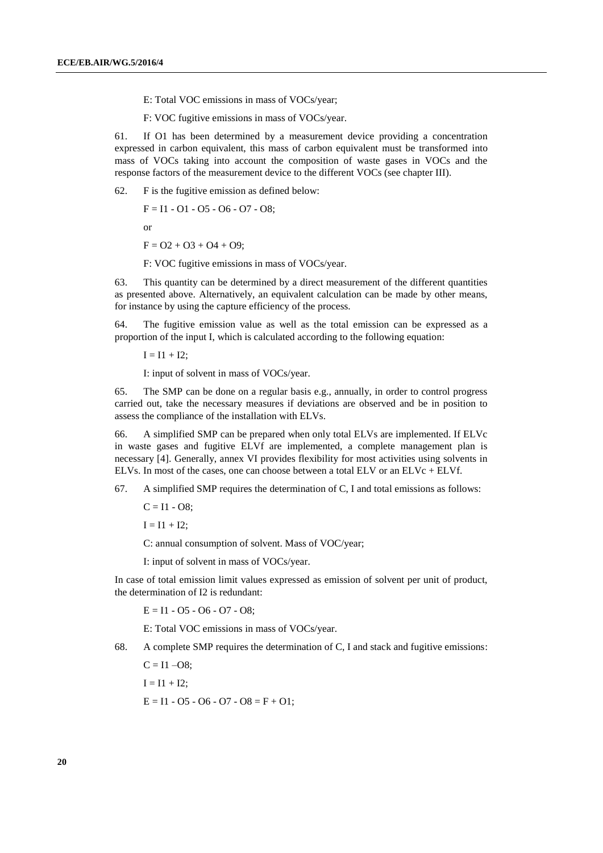E: Total VOC emissions in mass of VOCs/year;

F: VOC fugitive emissions in mass of VOCs/year.

61. If O1 has been determined by a measurement device providing a concentration expressed in carbon equivalent, this mass of carbon equivalent must be transformed into mass of VOCs taking into account the composition of waste gases in VOCs and the response factors of the measurement device to the different VOCs (see chapter III).

62. F is the fugitive emission as defined below:

 $F = I1 - O1 - O5 - O6 - O7 - O8$ ;

or

 $F = O2 + O3 + O4 + O9;$ 

F: VOC fugitive emissions in mass of VOCs/year.

63. This quantity can be determined by a direct measurement of the different quantities as presented above. Alternatively, an equivalent calculation can be made by other means, for instance by using the capture efficiency of the process.

64. The fugitive emission value as well as the total emission can be expressed as a proportion of the input I, which is calculated according to the following equation:

 $I = I1 + I2;$ 

I: input of solvent in mass of VOCs/year.

65. The SMP can be done on a regular basis e.g., annually, in order to control progress carried out, take the necessary measures if deviations are observed and be in position to assess the compliance of the installation with ELVs.

66. A simplified SMP can be prepared when only total ELVs are implemented. If ELVc in waste gases and fugitive ELVf are implemented, a complete management plan is necessary [4]. Generally, annex VI provides flexibility for most activities using solvents in ELVs. In most of the cases, one can choose between a total ELV or an ELVc + ELVf.

67. A simplified SMP requires the determination of C, I and total emissions as follows:

 $C = I1 - O8$ ;

 $I = I1 + I2;$ 

C: annual consumption of solvent. Mass of VOC/year;

I: input of solvent in mass of VOCs/year.

In case of total emission limit values expressed as emission of solvent per unit of product, the determination of I2 is redundant:

 $E = 11 - 05 - 06 - 07 - 08$ ;

E: Total VOC emissions in mass of VOCs/year.

68. A complete SMP requires the determination of C, I and stack and fugitive emissions:

 $C = I1 - O8$ ;

 $I = I1 + I2$ ;

 $E = I1 - 05 - 06 - 07 - 08 = F + 01$ ;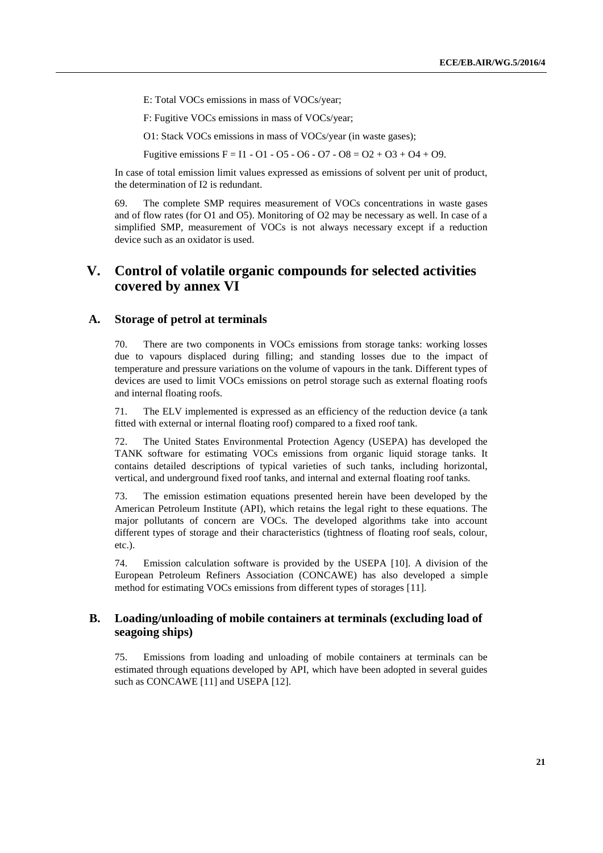E: Total VOCs emissions in mass of VOCs/year;

F: Fugitive VOCs emissions in mass of VOCs/year;

O1: Stack VOCs emissions in mass of VOCs/year (in waste gases);

Fugitive emissions  $F = I1 - 01 - 05 - 06 - 07 - 08 = 02 + 03 + 04 + 09$ .

In case of total emission limit values expressed as emissions of solvent per unit of product, the determination of I2 is redundant.

69. The complete SMP requires measurement of VOCs concentrations in waste gases and of flow rates (for O1 and O5). Monitoring of O2 may be necessary as well. In case of a simplified SMP, measurement of VOCs is not always necessary except if a reduction device such as an oxidator is used.

# **V. Control of volatile organic compounds for selected activities covered by annex VI**

### **A. Storage of petrol at terminals**

70. There are two components in VOCs emissions from storage tanks: working losses due to vapours displaced during filling; and standing losses due to the impact of temperature and pressure variations on the volume of vapours in the tank. Different types of devices are used to limit VOCs emissions on petrol storage such as external floating roofs and internal floating roofs.

71. The ELV implemented is expressed as an efficiency of the reduction device (a tank fitted with external or internal floating roof) compared to a fixed roof tank.

72. The United States Environmental Protection Agency (USEPA) has developed the TANK software for estimating VOCs emissions from organic liquid storage tanks. It contains detailed descriptions of typical varieties of such tanks, including horizontal, vertical, and underground fixed roof tanks, and internal and external floating roof tanks.

73. The emission estimation equations presented herein have been developed by the American Petroleum Institute (API), which retains the legal right to these equations. The major pollutants of concern are VOCs. The developed algorithms take into account different types of storage and their characteristics (tightness of floating roof seals, colour, etc.).

74. Emission calculation software is provided by the USEPA [10]. A division of the European Petroleum Refiners Association (CONCAWE) has also developed a simple method for estimating VOCs emissions from different types of storages [11].

### **B. Loading/unloading of mobile containers at terminals (excluding load of seagoing ships)**

75. Emissions from loading and unloading of mobile containers at terminals can be estimated through equations developed by API, which have been adopted in several guides such as CONCAWE [11] and USEPA [12].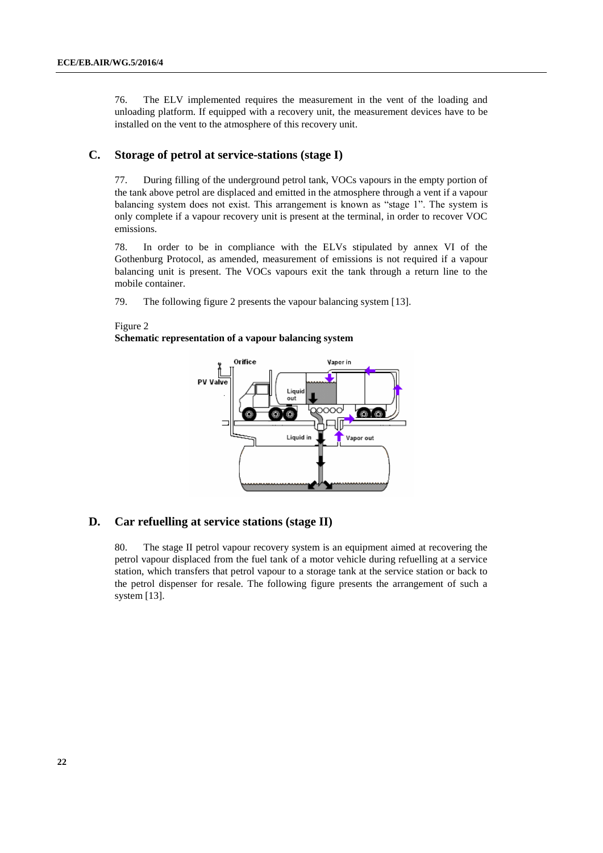76. The ELV implemented requires the measurement in the vent of the loading and unloading platform. If equipped with a recovery unit, the measurement devices have to be installed on the vent to the atmosphere of this recovery unit.

### **C. Storage of petrol at service-stations (stage I)**

77. During filling of the underground petrol tank, VOCs vapours in the empty portion of the tank above petrol are displaced and emitted in the atmosphere through a vent if a vapour balancing system does not exist. This arrangement is known as "stage 1". The system is only complete if a vapour recovery unit is present at the terminal, in order to recover VOC emissions.

78. In order to be in compliance with the ELVs stipulated by annex VI of the Gothenburg Protocol, as amended, measurement of emissions is not required if a vapour balancing unit is present. The VOCs vapours exit the tank through a return line to the mobile container.

79. The following figure 2 presents the vapour balancing system [13].

# Figure 2

**Schematic representation of a vapour balancing system**



### **D. Car refuelling at service stations (stage II)**

80. The stage II petrol vapour recovery system is an equipment aimed at recovering the petrol vapour displaced from the fuel tank of a motor vehicle during refuelling at a service station, which transfers that petrol vapour to a storage tank at the service station or back to the petrol dispenser for resale. The following figure presents the arrangement of such a system [13].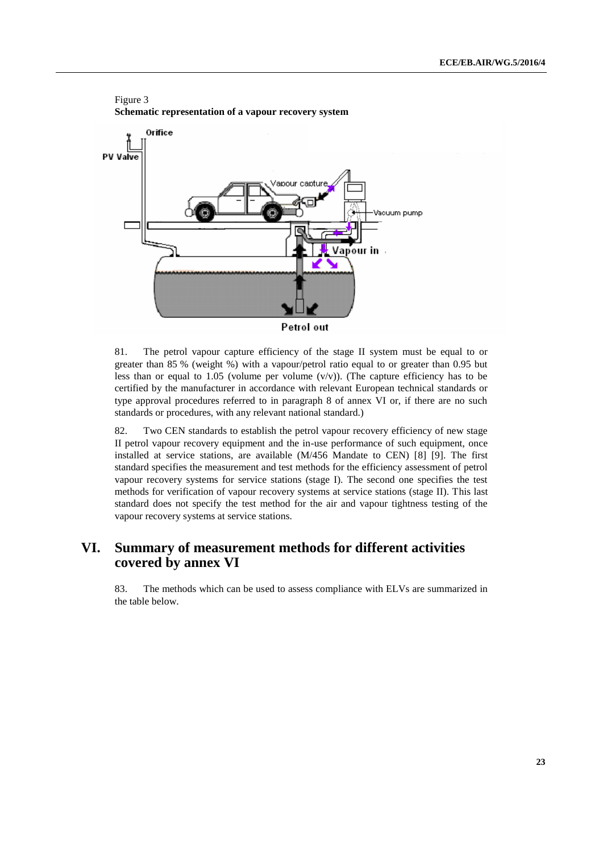

81. The petrol vapour capture efficiency of the stage II system must be equal to or greater than 85 % (weight %) with a vapour/petrol ratio equal to or greater than 0.95 but less than or equal to 1.05 (volume per volume  $(v/v)$ ). (The capture efficiency has to be certified by the manufacturer in accordance with relevant European technical standards or type approval procedures referred to in paragraph 8 of annex VI or, if there are no such standards or procedures, with any relevant national standard.)

82. Two CEN standards to establish the petrol vapour recovery efficiency of new stage II petrol vapour recovery equipment and the in-use performance of such equipment, once installed at service stations, are available (M/456 Mandate to CEN) [8] [9]. The first standard specifies the measurement and test methods for the efficiency assessment of petrol vapour recovery systems for service stations (stage I). The second one specifies the test methods for verification of vapour recovery systems at service stations (stage II). This last standard does not specify the test method for the air and vapour tightness testing of the vapour recovery systems at service stations.

# **VI. Summary of measurement methods for different activities covered by annex VI**

83. The methods which can be used to assess compliance with ELVs are summarized in the table below.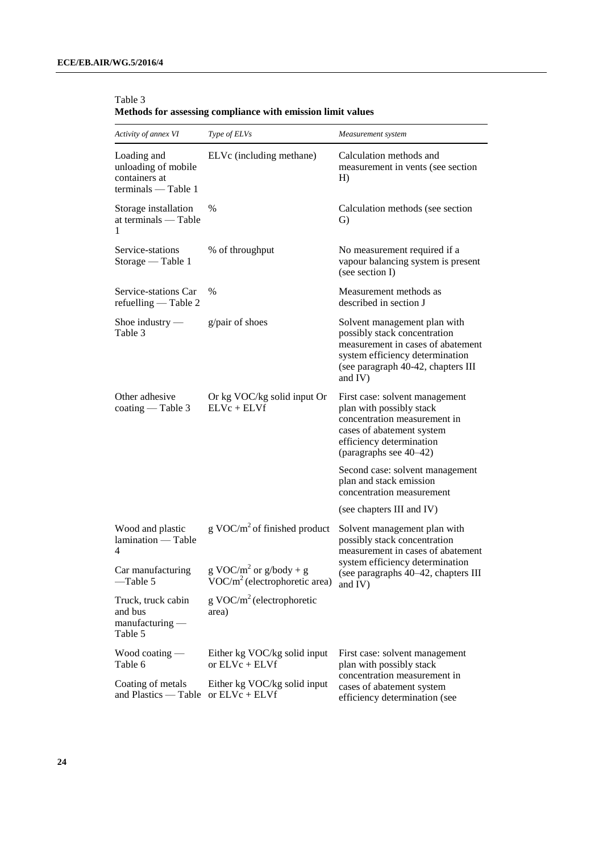| Activity of annex VI                                                       | Type of ELVs                                                          | Measurement system                                                                                                                                                                    |  |  |
|----------------------------------------------------------------------------|-----------------------------------------------------------------------|---------------------------------------------------------------------------------------------------------------------------------------------------------------------------------------|--|--|
| Loading and<br>unloading of mobile<br>containers at<br>terminals — Table 1 | ELVc (including methane)                                              | Calculation methods and<br>measurement in vents (see section<br>H)                                                                                                                    |  |  |
| Storage installation<br>at terminals — Table<br>1                          | $\%$                                                                  | Calculation methods (see section<br>G)                                                                                                                                                |  |  |
| Service-stations<br>Storage — Table 1                                      | % of throughput                                                       | No measurement required if a<br>vapour balancing system is present<br>(see section I)                                                                                                 |  |  |
| Service-stations Car<br>refuelling - Table 2                               | $\frac{0}{0}$                                                         | Measurement methods as<br>described in section J                                                                                                                                      |  |  |
| Shoe industry $-$<br>Table 3                                               | g/pair of shoes                                                       | Solvent management plan with<br>possibly stack concentration<br>measurement in cases of abatement<br>system efficiency determination<br>(see paragraph 40-42, chapters III<br>and IV) |  |  |
| Other adhesive<br>coating — Table 3                                        | Or kg VOC/kg solid input Or<br>$ELVc + ELVf$                          | First case: solvent management<br>plan with possibly stack<br>concentration measurement in<br>cases of abatement system<br>efficiency determination<br>(paragraphs see 40–42)         |  |  |
|                                                                            |                                                                       | Second case: solvent management<br>plan and stack emission<br>concentration measurement                                                                                               |  |  |
|                                                                            |                                                                       | (see chapters III and IV)                                                                                                                                                             |  |  |
| Wood and plastic<br>lamination - Table<br>4                                | g VOC/ $m^2$ of finished product                                      | Solvent management plan with<br>possibly stack concentration<br>measurement in cases of abatement                                                                                     |  |  |
| Car manufacturing<br>-Table 5                                              | g VOC/m <sup>2</sup> or g/body + g<br>$VOC/m2$ (electrophoretic area) | system efficiency determination<br>(see paragraphs 40–42, chapters III<br>and $IV$ )                                                                                                  |  |  |
| Truck, truck cabin<br>and bus<br>$manufacturing$ —<br>Table 5              | $g \text{ VOC/m}^2$ (electrophoretic<br>area)                         |                                                                                                                                                                                       |  |  |
| Wood coating $-$<br>Table 6                                                | Either kg VOC/kg solid input<br>or $ELVc + ELVf$                      | First case: solvent management<br>plan with possibly stack                                                                                                                            |  |  |
| Coating of metals<br>and Plastics — Table                                  | Either kg VOC/kg solid input<br>or $ELVc + ELVf$                      | concentration measurement in<br>cases of abatement system<br>efficiency determination (see                                                                                            |  |  |

Table 3 **Methods for assessing compliance with emission limit values**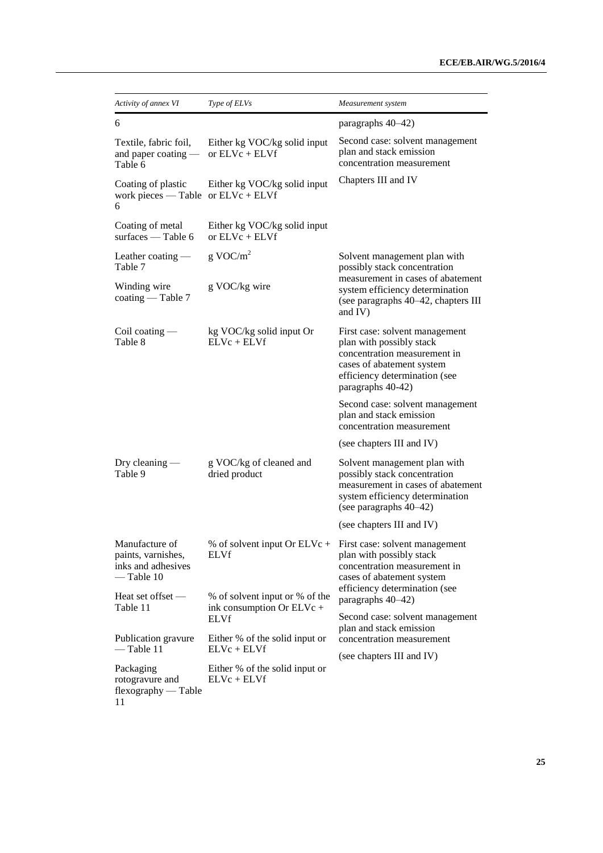| Activity of annex VI                                                       | Type of ELVs                                                | Measurement system                                                                                                                                                            |  |
|----------------------------------------------------------------------------|-------------------------------------------------------------|-------------------------------------------------------------------------------------------------------------------------------------------------------------------------------|--|
| 6                                                                          |                                                             | paragraphs 40-42)                                                                                                                                                             |  |
| Textile, fabric foil,<br>and paper coating $-$<br>Table 6                  | Either kg VOC/kg solid input<br>or $ELVc + ELVf$            | Second case: solvent management<br>plan and stack emission<br>concentration measurement                                                                                       |  |
| Coating of plastic<br>work pieces — Table or $ELVc + ELVf$<br>6            | Either kg VOC/kg solid input                                | Chapters III and IV                                                                                                                                                           |  |
| Coating of metal<br>surfaces - Table 6                                     | Either kg VOC/kg solid input<br>or $ELVc + ELVf$            |                                                                                                                                                                               |  |
| Leather coating -<br>Table 7                                               | $g$ VOC/ $m^2$                                              | Solvent management plan with<br>possibly stack concentration                                                                                                                  |  |
| Winding wire<br>$\operatorname{coating}$ - Table 7                         | g VOC/kg wire                                               | measurement in cases of abatement<br>system efficiency determination<br>(see paragraphs 40–42, chapters III<br>and IV)                                                        |  |
| Coil coating $-$<br>Table 8                                                | kg VOC/kg solid input Or<br>$ELVc + ELVf$                   | First case: solvent management<br>plan with possibly stack<br>concentration measurement in<br>cases of abatement system<br>efficiency determination (see<br>paragraphs 40-42) |  |
|                                                                            |                                                             | Second case: solvent management<br>plan and stack emission<br>concentration measurement                                                                                       |  |
|                                                                            |                                                             | (see chapters III and IV)                                                                                                                                                     |  |
| Dry cleaning $-$<br>Table 9                                                | g VOC/kg of cleaned and<br>dried product                    | Solvent management plan with<br>possibly stack concentration<br>measurement in cases of abatement<br>system efficiency determination<br>(see paragraphs 40-42)                |  |
|                                                                            |                                                             | (see chapters III and IV)                                                                                                                                                     |  |
| Manufacture of<br>paints, varnishes,<br>inks and adhesives<br>$-$ Table 10 | ELVf                                                        | % of solvent input Or ELVc + First case: solvent management<br>plan with possibly stack<br>concentration measurement in<br>cases of abatement system                          |  |
| Heat set offset $-$<br>Table 11                                            | % of solvent input or % of the<br>ink consumption Or ELVc + | efficiency determination (see<br>paragraphs 40-42)                                                                                                                            |  |
|                                                                            | <b>ELVf</b>                                                 | Second case: solvent management<br>plan and stack emission                                                                                                                    |  |
| Publication gravure<br>— Table 11                                          | Either % of the solid input or<br>$ELVc + ELVf$             | concentration measurement                                                                                                                                                     |  |
| Packaging<br>rotogravure and<br>flexography — Table                        | Either % of the solid input or<br>$ELVc + ELVf$             | (see chapters III and IV)                                                                                                                                                     |  |

<sup>11</sup>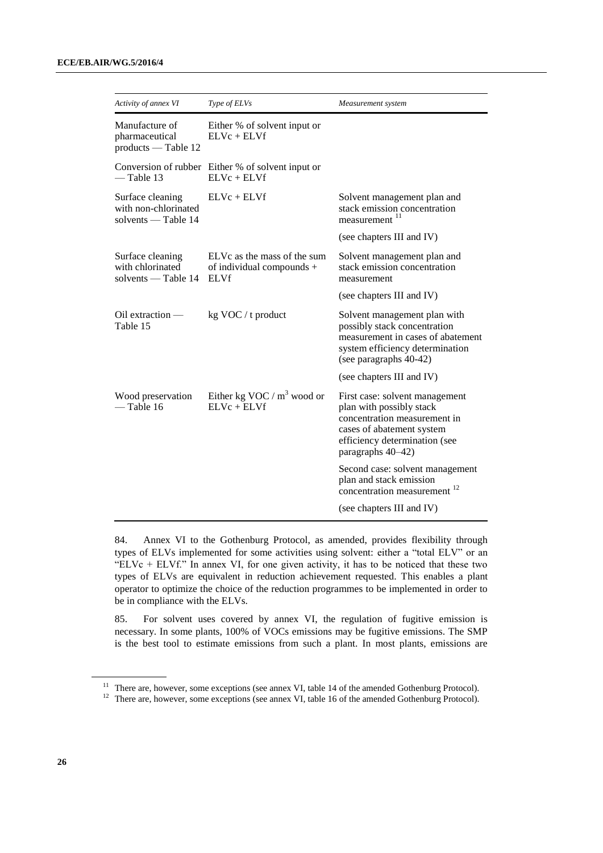| Activity of annex VI                                            | Type of ELVs                                                            | Measurement system                                                                                                                                                            |
|-----------------------------------------------------------------|-------------------------------------------------------------------------|-------------------------------------------------------------------------------------------------------------------------------------------------------------------------------|
| Manufacture of<br>pharmaceutical<br>products — Table 12         | Either % of solvent input or<br>$ELVc + ELVf$                           |                                                                                                                                                                               |
| $-$ Table 13                                                    | Conversion of rubber Either % of solvent input or<br>$ELVc + ELVf$      |                                                                                                                                                                               |
| Surface cleaning<br>with non-chlorinated<br>solvents - Table 14 | $ELVc + ELVf$                                                           | Solvent management plan and<br>stack emission concentration<br>measurement <sup>11</sup>                                                                                      |
|                                                                 |                                                                         | (see chapters III and IV)                                                                                                                                                     |
| Surface cleaning<br>with chlorinated<br>solvents — Table 14     | ELVc as the mass of the sum<br>of individual compounds +<br><b>ELVf</b> | Solvent management plan and<br>stack emission concentration<br>measurement                                                                                                    |
|                                                                 |                                                                         | (see chapters III and IV)                                                                                                                                                     |
| $Oil$ extraction $-$<br>Table 15                                | $kg$ VOC / t product                                                    | Solvent management plan with<br>possibly stack concentration<br>measurement in cases of abatement<br>system efficiency determination<br>(see paragraphs 40-42)                |
|                                                                 |                                                                         | (see chapters III and IV)                                                                                                                                                     |
| Wood preservation<br>$-$ Table 16                               | Either kg VOC / $m^3$ wood or<br>$ELVc + ELVf$                          | First case: solvent management<br>plan with possibly stack<br>concentration measurement in<br>cases of abatement system<br>efficiency determination (see<br>paragraphs 40-42) |
|                                                                 |                                                                         | Second case: solvent management<br>plan and stack emission<br>concentration measurement <sup>12</sup>                                                                         |
|                                                                 |                                                                         | (see chapters III and IV)                                                                                                                                                     |

84. Annex VI to the Gothenburg Protocol, as amended, provides flexibility through types of ELVs implemented for some activities using solvent: either a "total ELV" or an "ELVc + ELVf." In annex VI, for one given activity, it has to be noticed that these two types of ELVs are equivalent in reduction achievement requested. This enables a plant operator to optimize the choice of the reduction programmes to be implemented in order to be in compliance with the ELVs.

85. For solvent uses covered by annex VI, the regulation of fugitive emission is necessary. In some plants, 100% of VOCs emissions may be fugitive emissions. The SMP is the best tool to estimate emissions from such a plant. In most plants, emissions are

<sup>&</sup>lt;sup>11</sup> There are, however, some exceptions (see annex VI, table 14 of the amended Gothenburg Protocol).

<sup>&</sup>lt;sup>12</sup> There are, however, some exceptions (see annex VI, table 16 of the amended Gothenburg Protocol).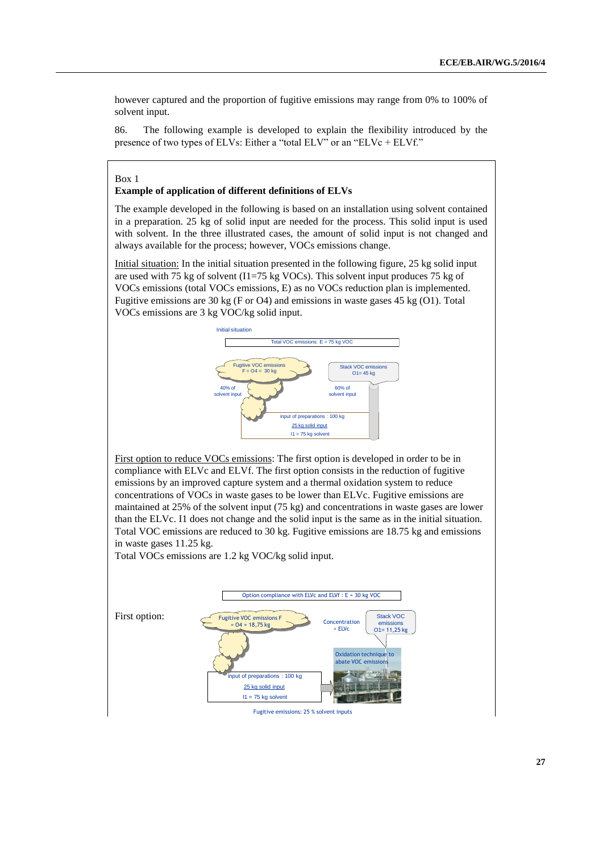however captured and the proportion of fugitive emissions may range from 0% to 100% of solvent input.

86. The following example is developed to explain the flexibility introduced by the presence of two types of ELVs: Either a "total ELV" or an "ELVc + ELVf."

Box 1

#### **Example of application of different definitions of ELVs**

The example developed in the following is based on an installation using solvent contained in a preparation. 25 kg of solid input are needed for the process. This solid input is used with solvent. In the three illustrated cases, the amount of solid input is not changed and always available for the process; however, VOCs emissions change.

Initial situation: In the initial situation presented in the following figure, 25 kg solid input are used with 75 kg of solvent (I1=75 kg VOCs). This solvent input produces 75 kg of VOCs emissions (total VOCs emissions, E) as no VOCs reduction plan is implemented. Fugitive emissions are 30 kg (F or O4) and emissions in waste gases 45 kg (O1). Total VOCs emissions are 3 kg VOC/kg solid input.



First option to reduce VOCs emissions: The first option is developed in order to be in compliance with ELVc and ELVf. The first option consists in the reduction of fugitive emissions by an improved capture system and a thermal oxidation system to reduce concentrations of VOCs in waste gases to be lower than ELVc. Fugitive emissions are maintained at 25% of the solvent input (75 kg) and concentrations in waste gases are lower than the ELVc. I1 does not change and the solid input is the same as in the initial situation. Total VOC emissions are reduced to 30 kg. Fugitive emissions are 18.75 kg and emissions in waste gases 11.25 kg.

Total VOCs emissions are 1.2 kg VOC/kg solid input.



Fugitive emissions: 25 % solvent inputs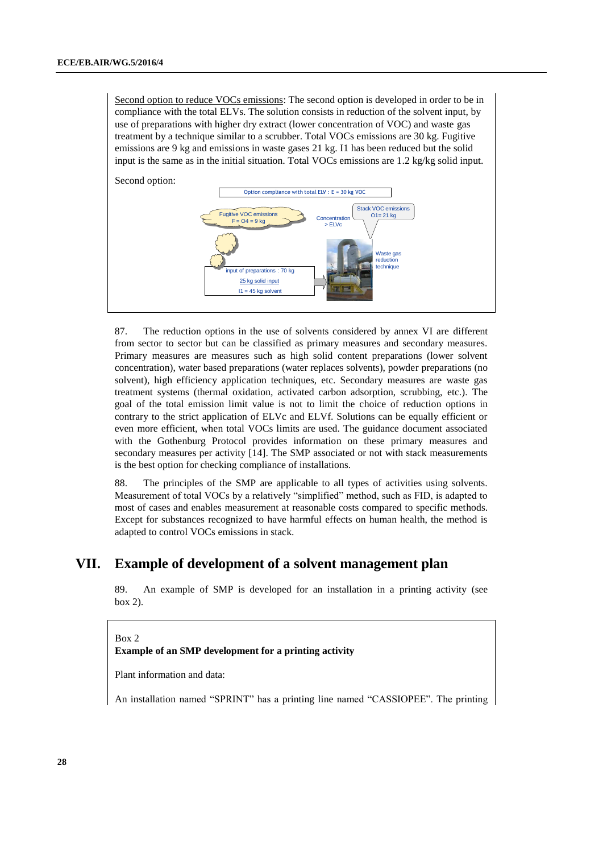Second option to reduce VOCs emissions: The second option is developed in order to be in compliance with the total ELVs. The solution consists in reduction of the solvent input, by use of preparations with higher dry extract (lower concentration of VOC) and waste gas treatment by a technique similar to a scrubber. Total VOCs emissions are 30 kg. Fugitive emissions are 9 kg and emissions in waste gases 21 kg. I1 has been reduced but the solid input is the same as in the initial situation. Total VOCs emissions are 1.2 kg/kg solid input.



87. The reduction options in the use of solvents considered by annex VI are different from sector to sector but can be classified as primary measures and secondary measures. Primary measures are measures such as high solid content preparations (lower solvent concentration), water based preparations (water replaces solvents), powder preparations (no solvent), high efficiency application techniques, etc. Secondary measures are waste gas treatment systems (thermal oxidation, activated carbon adsorption, scrubbing, etc.). The goal of the total emission limit value is not to limit the choice of reduction options in contrary to the strict application of ELVc and ELVf. Solutions can be equally efficient or even more efficient, when total VOCs limits are used. The guidance document associated with the Gothenburg Protocol provides information on these primary measures and secondary measures per activity [14]. The SMP associated or not with stack measurements is the best option for checking compliance of installations.

88. The principles of the SMP are applicable to all types of activities using solvents. Measurement of total VOCs by a relatively "simplified" method, such as FID, is adapted to most of cases and enables measurement at reasonable costs compared to specific methods. Except for substances recognized to have harmful effects on human health, the method is adapted to control VOCs emissions in stack.

# **VII. Example of development of a solvent management plan**

89. An example of SMP is developed for an installation in a printing activity (see box 2).

Box 2 **Example of an SMP development for a printing activity** 

Plant information and data:

An installation named "SPRINT" has a printing line named "CASSIOPEE". The printing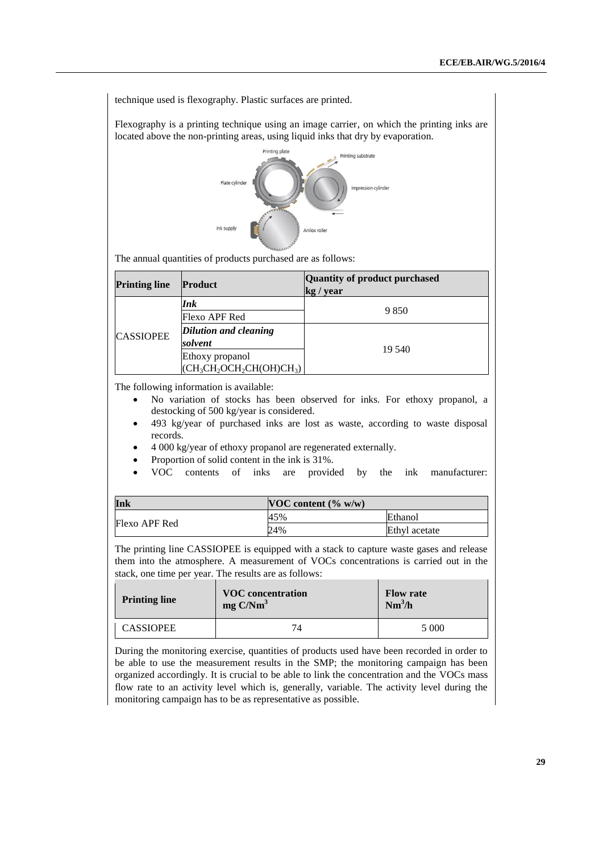technique used is flexography. Plastic surfaces are printed.

Flexography is a printing technique using an image carrier, on which the printing inks are located above the non-printing areas, using liquid inks that dry by evaporation.



The annual quantities of products purchased are as follows:

| <b>Printing line</b> | <b>Product</b>                                 | Quantity of product purchased<br>kg / year |
|----------------------|------------------------------------------------|--------------------------------------------|
|                      | Ink                                            |                                            |
|                      | Flexo APF Red                                  | 9 8 5 0                                    |
| <b>CASSIOPEE</b>     | Dilution and cleaning                          |                                            |
|                      | solvent                                        | 19 540                                     |
|                      | Ethoxy propanol<br>$(CH_3CH_2OCH_2CH(OH)CH_3)$ |                                            |

The following information is available:

- No variation of stocks has been observed for inks. For ethoxy propanol, a destocking of 500 kg/year is considered.
- 493 kg/year of purchased inks are lost as waste, according to waste disposal records.
- 4 000 kg/year of ethoxy propanol are regenerated externally.
- Proportion of solid content in the ink is 31%.
- VOC contents of inks are provided by the ink manufacturer:

| Ink           | $\vert$ VOC content (% w/w) |               |  |
|---------------|-----------------------------|---------------|--|
|               | 45%                         | Ethanol       |  |
| Flexo APF Red | 24%                         | Ethyl acetate |  |

The printing line CASSIOPEE is equipped with a stack to capture waste gases and release them into the atmosphere. A measurement of VOCs concentrations is carried out in the stack, one time per year. The results are as follows:

| <b>Printing line</b> | <b>VOC</b> concentration<br>$mg \text{ C/Nm}^3$ | <b>Flow rate</b><br>$Nm^3/h$ |
|----------------------|-------------------------------------------------|------------------------------|
| <b>CASSIOPEE</b>     | 74                                              | 5 0 0 0                      |

During the monitoring exercise, quantities of products used have been recorded in order to be able to use the measurement results in the SMP; the monitoring campaign has been organized accordingly. It is crucial to be able to link the concentration and the VOCs mass flow rate to an activity level which is, generally, variable. The activity level during the monitoring campaign has to be as representative as possible.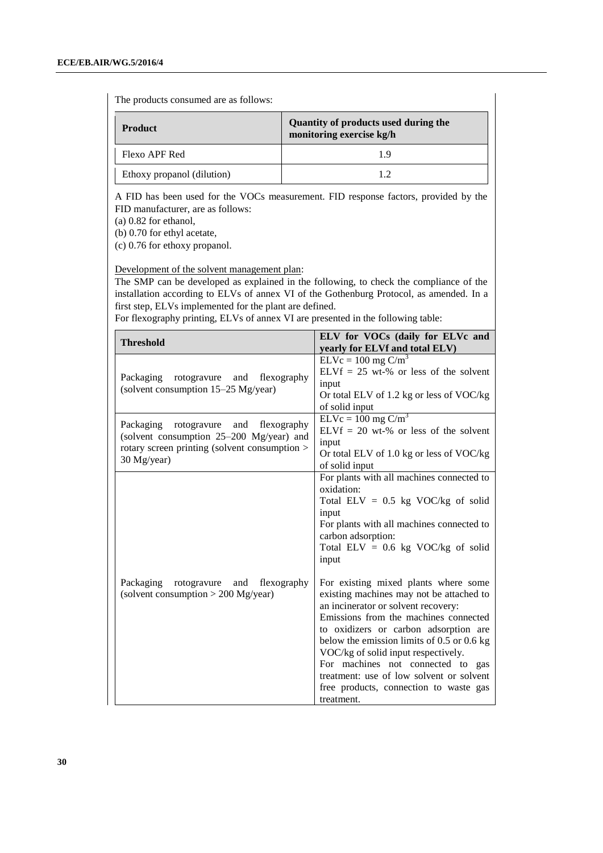The products consumed are as follows:

| <b>Product</b>             | Quantity of products used during the<br>monitoring exercise kg/h |
|----------------------------|------------------------------------------------------------------|
| Flexo APF Red              | 19                                                               |
| Ethoxy propanol (dilution) | 12                                                               |

A FID has been used for the VOCs measurement. FID response factors, provided by the FID manufacturer, are as follows:

(a) 0.82 for ethanol,

(b) 0.70 for ethyl acetate,

(c) 0.76 for ethoxy propanol.

Development of the solvent management plan:

The SMP can be developed as explained in the following, to check the compliance of the installation according to ELVs of annex VI of the Gothenburg Protocol, as amended. In a first step, ELVs implemented for the plant are defined.

For flexography printing, ELVs of annex VI are presented in the following table:

| ELV for VOCs (daily for ELVc and<br>yearly for ELVf and total ELV)                                                                                                                                                                                                                                                                                                                                                                                                                                                                                                                                                                                            |
|---------------------------------------------------------------------------------------------------------------------------------------------------------------------------------------------------------------------------------------------------------------------------------------------------------------------------------------------------------------------------------------------------------------------------------------------------------------------------------------------------------------------------------------------------------------------------------------------------------------------------------------------------------------|
| $ELVc = 100$ mg $C/m3$<br>$ELVf = 25$ wt-% or less of the solvent<br>input<br>Or total ELV of 1.2 kg or less of VOC/kg<br>of solid input                                                                                                                                                                                                                                                                                                                                                                                                                                                                                                                      |
| $ELVc = 100$ mg $C/m3$<br>$ELVf = 20$ wt-% or less of the solvent<br>input<br>Or total ELV of $1.0$ kg or less of VOC/kg<br>of solid input                                                                                                                                                                                                                                                                                                                                                                                                                                                                                                                    |
| For plants with all machines connected to<br>oxidation:<br>Total ELV = $0.5$ kg VOC/kg of solid<br>input<br>For plants with all machines connected to<br>carbon adsorption:<br>Total ELV = $0.6$ kg VOC/kg of solid<br>input<br>For existing mixed plants where some<br>existing machines may not be attached to<br>an incinerator or solvent recovery:<br>Emissions from the machines connected<br>to oxidizers or carbon adsorption are<br>below the emission limits of $0.5$ or $0.6$ kg<br>VOC/kg of solid input respectively.<br>For machines not connected to gas<br>treatment: use of low solvent or solvent<br>free products, connection to waste gas |
|                                                                                                                                                                                                                                                                                                                                                                                                                                                                                                                                                                                                                                                               |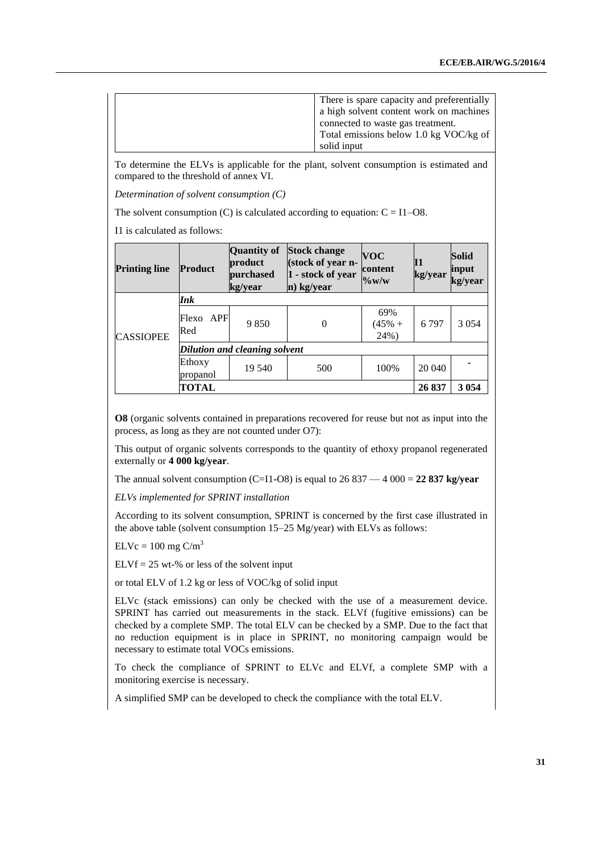| There is spare capacity and preferentially |
|--------------------------------------------|
| a high solvent content work on machines    |
| connected to waste gas treatment.          |
| Total emissions below 1.0 kg VOC/kg of     |
| solid input                                |

To determine the ELVs is applicable for the plant, solvent consumption is estimated and compared to the threshold of annex VI.

*Determination of solvent consumption (C)*

The solvent consumption  $(C)$  is calculated according to equation:  $C = I1 - O8$ .

I1 is calculated as follows:

| <b>Printing line</b> | <b>Product</b>             | Quantity of<br>product<br>purchased<br>kg/year | <b>Stock change</b><br>(stock of year n-<br>1 - stock of year<br>n) kg/year | <b>VOC</b><br>content<br>$\%$ w/w | Ι1<br>kg/year | <b>Solid</b><br>input<br>kg/year |
|----------------------|----------------------------|------------------------------------------------|-----------------------------------------------------------------------------|-----------------------------------|---------------|----------------------------------|
|                      | Ink                        |                                                |                                                                             |                                   |               |                                  |
| <b>CASSIOPEE</b>     | <b>APF</b><br>Flexo<br>Red | 9 8 5 0                                        | 0                                                                           | 69%<br>$(45% +$<br>24%)           | 6797          | 3 0 5 4                          |
|                      |                            | Dilution and cleaning solvent                  |                                                                             |                                   |               |                                  |
|                      | Ethoxy<br>propanol         | 19 540                                         | 500                                                                         | 100%                              | 20 040        |                                  |
|                      | <b>TOTAL</b>               |                                                |                                                                             |                                   | 26 837        | 3 0 5 4                          |

**O8** (organic solvents contained in preparations recovered for reuse but not as input into the process, as long as they are not counted under O7):

This output of organic solvents corresponds to the quantity of ethoxy propanol regenerated externally or **4 000 kg/year**.

The annual solvent consumption (C=I1-O8) is equal to  $26\,837 - 4\,000 = 22\,837$  kg/year

*ELVs implemented for SPRINT installation*

According to its solvent consumption, SPRINT is concerned by the first case illustrated in the above table (solvent consumption 15–25 Mg/year) with ELVs as follows:

 $ELVc = 100$  mg  $C/m<sup>3</sup>$ 

 $ELVf = 25$  wt-% or less of the solvent input

or total ELV of 1.2 kg or less of VOC/kg of solid input

ELVc (stack emissions) can only be checked with the use of a measurement device. SPRINT has carried out measurements in the stack. ELVf (fugitive emissions) can be checked by a complete SMP. The total ELV can be checked by a SMP. Due to the fact that no reduction equipment is in place in SPRINT, no monitoring campaign would be necessary to estimate total VOCs emissions.

To check the compliance of SPRINT to ELVc and ELVf, a complete SMP with a monitoring exercise is necessary.

A simplified SMP can be developed to check the compliance with the total ELV.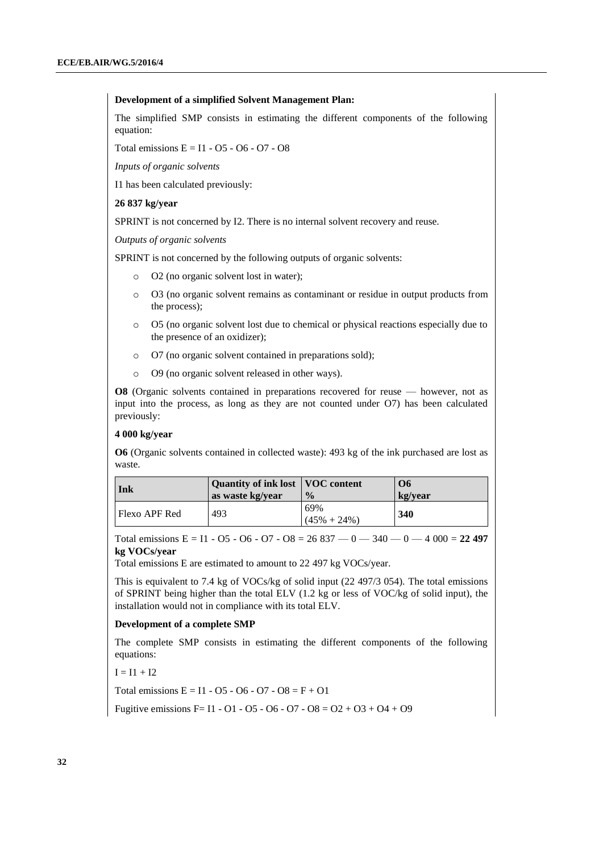#### **Development of a simplified Solvent Management Plan:**

The simplified SMP consists in estimating the different components of the following equation:

Total emissions  $E = I1 - 05 - 06 - 07 - 08$ 

*Inputs of organic solvents*

I1 has been calculated previously:

#### **26 837 kg/year**

SPRINT is not concerned by I2. There is no internal solvent recovery and reuse.

*Outputs of organic solvents*

SPRINT is not concerned by the following outputs of organic solvents:

- o O2 (no organic solvent lost in water);
- o O3 (no organic solvent remains as contaminant or residue in output products from the process);
- o O5 (no organic solvent lost due to chemical or physical reactions especially due to the presence of an oxidizer);
- o O7 (no organic solvent contained in preparations sold);
- o O9 (no organic solvent released in other ways).

**O8** (Organic solvents contained in preparations recovered for reuse — however, not as input into the process, as long as they are not counted under O7) has been calculated previously:

#### **4 000 kg/year**

**O6** (Organic solvents contained in collected waste): 493 kg of the ink purchased are lost as waste.

| Ink           | Quantity of ink lost   VOC content<br>as waste kg/year | $\frac{0}{2}$          | O6<br>kg/year |
|---------------|--------------------------------------------------------|------------------------|---------------|
| Flexo APF Red | 493                                                    | 69%<br>$(45\% + 24\%)$ | 340           |

Total emissions E = I1 - O5 - O6 - O7 - O8 =  $26837 - 0 - 340 - 0 - 4000 = 22497$ **kg VOCs/year**

Total emissions E are estimated to amount to 22 497 kg VOCs/year.

This is equivalent to 7.4 kg of VOCs/kg of solid input (22 497/3 054). The total emissions of SPRINT being higher than the total ELV (1.2 kg or less of VOC/kg of solid input), the installation would not in compliance with its total ELV.

#### **Development of a complete SMP**

The complete SMP consists in estimating the different components of the following equations:

 $I = I1 + I2$ 

Total emissions  $E = 11 - 05 - 06 - 07 - 08 = F + 01$ 

Fugitive emissions F= I1 - O1 - O5 - O6 - O7 - O8 = O2 + O3 + O4 + O9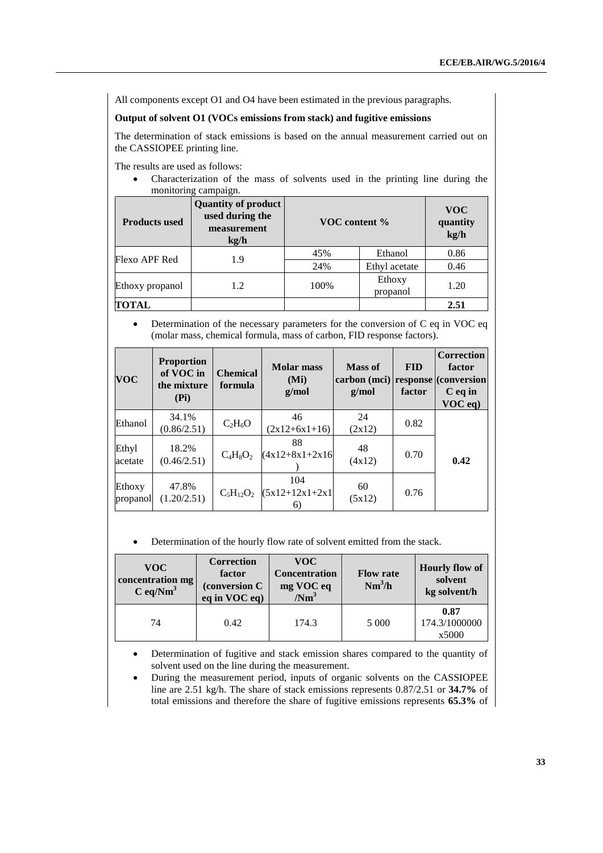All components except O1 and O4 have been estimated in the previous paragraphs.

### **Output of solvent O1 (VOCs emissions from stack) and fugitive emissions**

The determination of stack emissions is based on the annual measurement carried out on the CASSIOPEE printing line.

The results are used as follows:

 Characterization of the mass of solvents used in the printing line during the monitoring campaign.

| <b>Products used</b> | <b>Quantity of product</b><br>used during the<br>measurement<br>$k\Omega/h$ | VOC content % |                    | <b>VOC</b><br>quantity<br>kg/h |
|----------------------|-----------------------------------------------------------------------------|---------------|--------------------|--------------------------------|
| Flexo APF Red        | 1.9                                                                         | 45%           | Ethanol            | 0.86                           |
|                      |                                                                             | 24%           | Ethyl acetate      | 0.46                           |
| Ethoxy propanol      | 1.2                                                                         | 100%          | Ethoxy<br>propanol | 1.20                           |
| TOTAL                |                                                                             |               |                    | 2.51                           |

 Determination of the necessary parameters for the conversion of C eq in VOC eq (molar mass, chemical formula, mass of carbon, FID response factors).

| <b>VOC</b>         | <b>Proportion</b><br>of VOC in<br>the mixture<br>(Pi) | <b>Chemical</b><br>formula | <b>Molar</b> mass<br>(Mi)<br>g/mol | Mass of<br>carbon (mci) response (conversion)<br>g/mol | <b>FID</b><br>factor | <b>Correction</b><br>factor<br>$C$ eq in<br>$VOC$ eq) |
|--------------------|-------------------------------------------------------|----------------------------|------------------------------------|--------------------------------------------------------|----------------------|-------------------------------------------------------|
| Ethanol            | 34.1%<br>(0.86/2.51)                                  | $C_2H_6O$                  | 46<br>$(2x12+6x1+16)$              | 24<br>(2x12)                                           | 0.82                 |                                                       |
| Ethyl<br>acetate   | 18.2%<br>(0.46/2.51)                                  | $C_4H_8O_2$                | 88<br>$(4x12+8x1+2x16)$            | 48<br>(4x12)                                           | 0.70                 | 0.42                                                  |
| Ethoxy<br>propanol | 47.8%<br>(1.20/2.51)                                  | $C_5H_{12}O_2$             | 104<br>$(5x12+12x1+2x1)$<br>6)     | 60<br>(5x12)                                           | 0.76                 |                                                       |

Determination of the hourly flow rate of solvent emitted from the stack.

| <b>VOC</b><br>concentration mg<br>$C \text{ eq/Nm}^3$ | <b>Correction</b><br>factor<br>(conversion C<br>eq in VOC eq) | VOC-<br><b>Concentration</b><br>mg VOC eq<br>/Nm <sup>3</sup> | <b>Flow rate</b><br>$Nm^3/h$ | <b>Hourly flow of</b><br>solvent<br>kg solvent/h |
|-------------------------------------------------------|---------------------------------------------------------------|---------------------------------------------------------------|------------------------------|--------------------------------------------------|
| 74                                                    | 0.42                                                          | 174.3                                                         | 5 0 0 0                      | 0.87<br>174.3/1000000<br>x5000                   |

 Determination of fugitive and stack emission shares compared to the quantity of solvent used on the line during the measurement.

 During the measurement period, inputs of organic solvents on the CASSIOPEE line are 2.51 kg/h. The share of stack emissions represents 0.87/2.51 or **34.7%** of total emissions and therefore the share of fugitive emissions represents **65.3%** of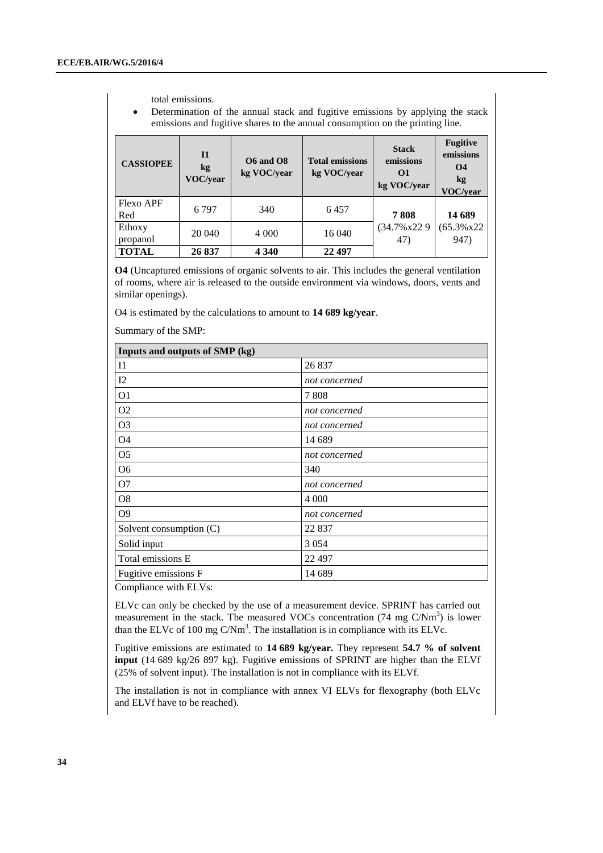total emissions.

 Determination of the annual stack and fugitive emissions by applying the stack emissions and fugitive shares to the annual consumption on the printing line.

| <b>CASSIOPEE</b>        | <b>I1</b><br>kg<br><b>VOC/vear</b> | <b>O6</b> and <b>O8</b><br>kg VOC/vear | <b>Total emissions</b><br>kg VOC/year | <b>Stack</b><br>emissions<br>$\Omega$<br>kg VOC/year | <b>Fugitive</b><br>emissions<br><b>O4</b><br>kg<br>VOC/year |
|-------------------------|------------------------------------|----------------------------------------|---------------------------------------|------------------------------------------------------|-------------------------------------------------------------|
| <b>Flexo APF</b><br>Red | 6797                               | 340                                    | 6457                                  | 7808                                                 | 14 689                                                      |
| Ethoxy<br>propanol      | 20 040                             | 4 0 0 0                                | 16 040                                | (34.7% x22 9)<br>47)                                 | $(65.3\% \times 22)$<br>947)                                |
| <b>TOTAL</b>            | 26 837                             | 4 3 4 0                                | 22 497                                |                                                      |                                                             |

**O4** (Uncaptured emissions of organic solvents to air. This includes the general ventilation of rooms, where air is released to the outside environment via windows, doors, vents and similar openings).

O4 is estimated by the calculations to amount to **14 689 kg/year**.

Summary of the SMP:

| Inputs and outputs of SMP (kg) |               |  |
|--------------------------------|---------------|--|
| $_{\rm II}$                    | 26 837        |  |
| I2                             | not concerned |  |
| O <sub>1</sub>                 | 7808          |  |
| O <sub>2</sub>                 | not concerned |  |
| O <sub>3</sub>                 | not concerned |  |
| <b>O4</b>                      | 14 689        |  |
| O <sub>5</sub>                 | not concerned |  |
| O <sub>6</sub>                 | 340           |  |
| O <sub>7</sub>                 | not concerned |  |
| O <sub>8</sub>                 | 4 0 0 0       |  |
| O <sub>9</sub>                 | not concerned |  |
| Solvent consumption (C)        | 22 837        |  |
| Solid input                    | 3 0 5 4       |  |
| Total emissions E              | 22 497        |  |
| Fugitive emissions F           | 14 689        |  |

Compliance with ELVs:

ELVc can only be checked by the use of a measurement device. SPRINT has carried out measurement in the stack. The measured VOCs concentration  $(74 \text{ mg } C/Nm^3)$  is lower than the ELVc of 100 mg  $C/Nm<sup>3</sup>$ . The installation is in compliance with its ELVc.

Fugitive emissions are estimated to **14 689 kg/year.** They represent **54.7 % of solvent input** (14 689 kg/26 897 kg). Fugitive emissions of SPRINT are higher than the ELVf (25% of solvent input). The installation is not in compliance with its ELVf.

The installation is not in compliance with annex VI ELVs for flexography (both ELVc and ELVf have to be reached).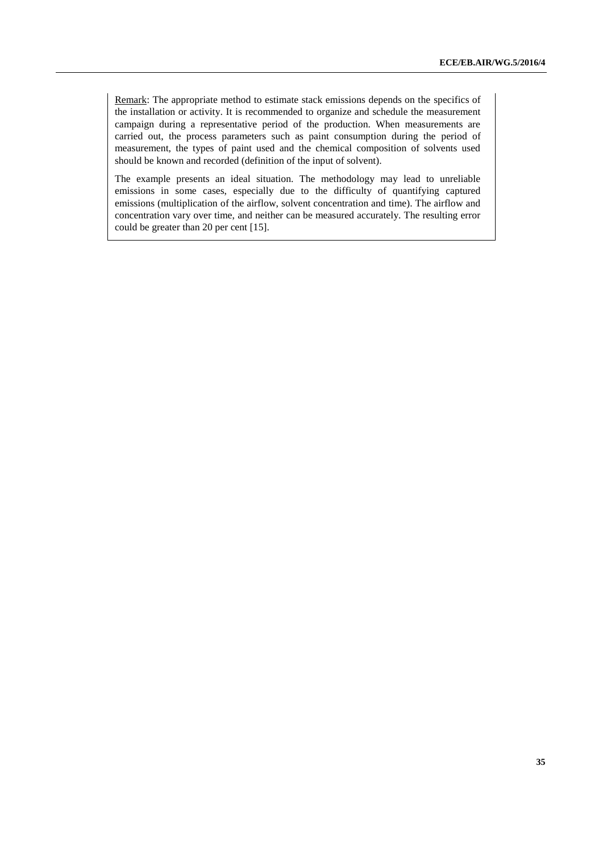Remark: The appropriate method to estimate stack emissions depends on the specifics of the installation or activity. It is recommended to organize and schedule the measurement campaign during a representative period of the production. When measurements are carried out, the process parameters such as paint consumption during the period of measurement, the types of paint used and the chemical composition of solvents used should be known and recorded (definition of the input of solvent).

The example presents an ideal situation. The methodology may lead to unreliable emissions in some cases, especially due to the difficulty of quantifying captured emissions (multiplication of the airflow, solvent concentration and time). The airflow and concentration vary over time, and neither can be measured accurately. The resulting error could be greater than 20 per cent [15].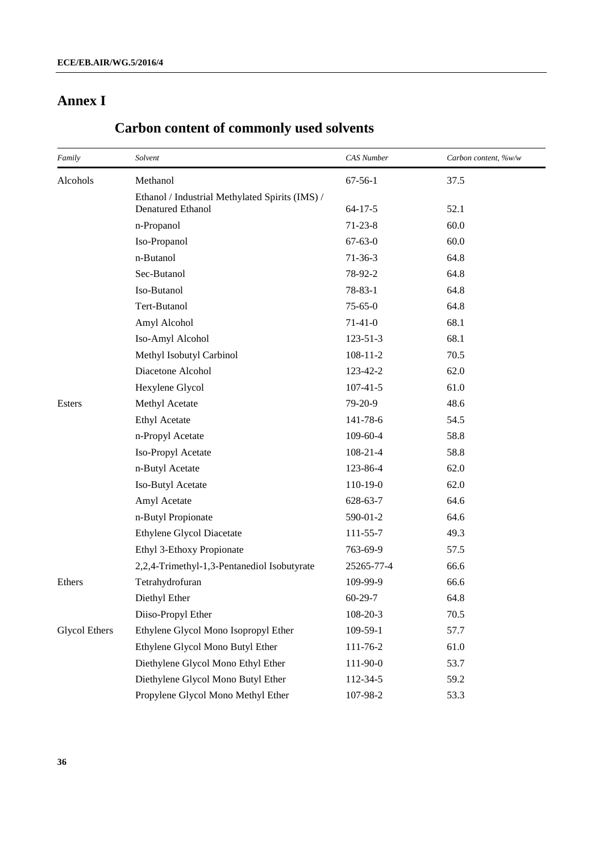# **Annex I**

| Family               | Solvent                                         | <b>CAS</b> Number | Carbon content, %w/w |
|----------------------|-------------------------------------------------|-------------------|----------------------|
| Alcohols             | Methanol                                        | $67 - 56 - 1$     | 37.5                 |
|                      | Ethanol / Industrial Methylated Spirits (IMS) / |                   |                      |
|                      | <b>Denatured Ethanol</b>                        | $64 - 17 - 5$     | 52.1                 |
|                      | n-Propanol                                      | $71 - 23 - 8$     | 60.0                 |
|                      | Iso-Propanol                                    | $67 - 63 - 0$     | 60.0                 |
|                      | n-Butanol                                       | $71-36-3$         | 64.8                 |
|                      | Sec-Butanol                                     | 78-92-2           | 64.8                 |
|                      | Iso-Butanol                                     | $78 - 83 - 1$     | 64.8                 |
|                      | Tert-Butanol                                    | $75 - 65 - 0$     | 64.8                 |
|                      | Amyl Alcohol                                    | $71-41-0$         | 68.1                 |
|                      | Iso-Amyl Alcohol                                | $123 - 51 - 3$    | 68.1                 |
|                      | Methyl Isobutyl Carbinol                        | $108 - 11 - 2$    | 70.5                 |
|                      | Diacetone Alcohol                               | 123-42-2          | 62.0                 |
|                      | Hexylene Glycol                                 | $107 - 41 - 5$    | 61.0                 |
| Esters               | Methyl Acetate                                  | 79-20-9           | 48.6                 |
|                      | <b>Ethyl Acetate</b>                            | 141-78-6          | 54.5                 |
|                      | n-Propyl Acetate                                | 109-60-4          | 58.8                 |
|                      | Iso-Propyl Acetate                              | $108 - 21 - 4$    | 58.8                 |
|                      | n-Butyl Acetate                                 | 123-86-4          | 62.0                 |
|                      | Iso-Butyl Acetate                               | 110-19-0          | 62.0                 |
|                      | Amyl Acetate                                    | 628-63-7          | 64.6                 |
|                      | n-Butyl Propionate                              | 590-01-2          | 64.6                 |
|                      | <b>Ethylene Glycol Diacetate</b>                | 111-55-7          | 49.3                 |
|                      | Ethyl 3-Ethoxy Propionate                       | 763-69-9          | 57.5                 |
|                      | 2,2,4-Trimethyl-1,3-Pentanediol Isobutyrate     | 25265-77-4        | 66.6                 |
| Ethers               | Tetrahydrofuran                                 | 109-99-9          | 66.6                 |
|                      | Diethyl Ether                                   | $60 - 29 - 7$     | 64.8                 |
|                      | Diiso-Propyl Ether                              | 108-20-3          | 70.5                 |
| <b>Glycol Ethers</b> | Ethylene Glycol Mono Isopropyl Ether            | 109-59-1          | 57.7                 |
|                      | Ethylene Glycol Mono Butyl Ether                | 111-76-2          | 61.0                 |
|                      | Diethylene Glycol Mono Ethyl Ether              | 111-90-0          | 53.7                 |
|                      | Diethylene Glycol Mono Butyl Ether              | 112-34-5          | 59.2                 |
|                      | Propylene Glycol Mono Methyl Ether              | 107-98-2          | 53.3                 |

# **Carbon content of commonly used solvents**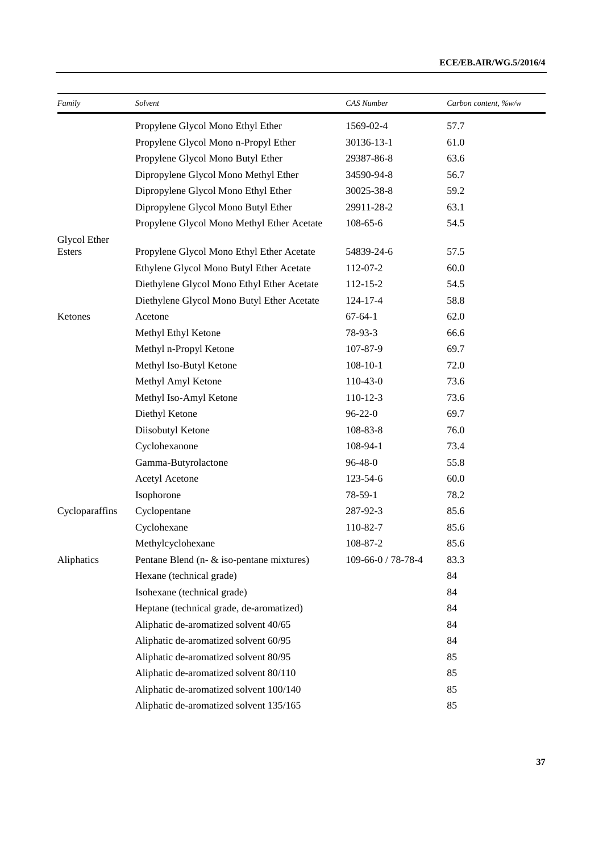| Family         | Solvent                                    | <b>CAS</b> Number  | Carbon content, %w/w |
|----------------|--------------------------------------------|--------------------|----------------------|
|                | Propylene Glycol Mono Ethyl Ether          | 1569-02-4          | 57.7                 |
|                | Propylene Glycol Mono n-Propyl Ether       | 30136-13-1         | 61.0                 |
|                | Propylene Glycol Mono Butyl Ether          | 29387-86-8         | 63.6                 |
|                | Dipropylene Glycol Mono Methyl Ether       | 34590-94-8         | 56.7                 |
|                | Dipropylene Glycol Mono Ethyl Ether        | 30025-38-8         | 59.2                 |
|                | Dipropylene Glycol Mono Butyl Ether        | 29911-28-2         | 63.1                 |
|                | Propylene Glycol Mono Methyl Ether Acetate | 108-65-6           | 54.5                 |
| Glycol Ether   |                                            |                    |                      |
| Esters         | Propylene Glycol Mono Ethyl Ether Acetate  | 54839-24-6         | 57.5                 |
|                | Ethylene Glycol Mono Butyl Ether Acetate   | 112-07-2           | 60.0                 |
|                | Diethylene Glycol Mono Ethyl Ether Acetate | 112-15-2           | 54.5                 |
|                | Diethylene Glycol Mono Butyl Ether Acetate | 124-17-4           | 58.8                 |
| Ketones        | Acetone                                    | $67 - 64 - 1$      | 62.0                 |
|                | Methyl Ethyl Ketone                        | 78-93-3            | 66.6                 |
|                | Methyl n-Propyl Ketone                     | 107-87-9           | 69.7                 |
|                | Methyl Iso-Butyl Ketone                    | $108 - 10 - 1$     | 72.0                 |
|                | Methyl Amyl Ketone                         | 110-43-0           | 73.6                 |
|                | Methyl Iso-Amyl Ketone                     | $110-12-3$         | 73.6                 |
|                | Diethyl Ketone                             | $96 - 22 - 0$      | 69.7                 |
|                | Diisobutyl Ketone                          | 108-83-8           | 76.0                 |
|                | Cyclohexanone                              | 108-94-1           | 73.4                 |
|                | Gamma-Butyrolactone                        | 96-48-0            | 55.8                 |
|                | Acetyl Acetone                             | 123-54-6           | 60.0                 |
|                | Isophorone                                 | 78-59-1            | 78.2                 |
| Cycloparaffins | Cyclopentane                               | 287-92-3           | 85.6                 |
|                | Cyclohexane                                | 110-82-7           | 85.6                 |
|                | Methylcyclohexane                          | 108-87-2           | 85.6                 |
| Aliphatics     | Pentane Blend (n- & iso-pentane mixtures)  | 109-66-0 / 78-78-4 | 83.3                 |
|                | Hexane (technical grade)                   |                    | 84                   |
|                | Isohexane (technical grade)                |                    | 84                   |
|                | Heptane (technical grade, de-aromatized)   |                    | 84                   |
|                | Aliphatic de-aromatized solvent 40/65      |                    | 84                   |
|                | Aliphatic de-aromatized solvent 60/95      |                    | 84                   |
|                | Aliphatic de-aromatized solvent 80/95      |                    | 85                   |
|                | Aliphatic de-aromatized solvent 80/110     |                    | 85                   |
|                | Aliphatic de-aromatized solvent 100/140    |                    | 85                   |
|                | Aliphatic de-aromatized solvent 135/165    |                    | 85                   |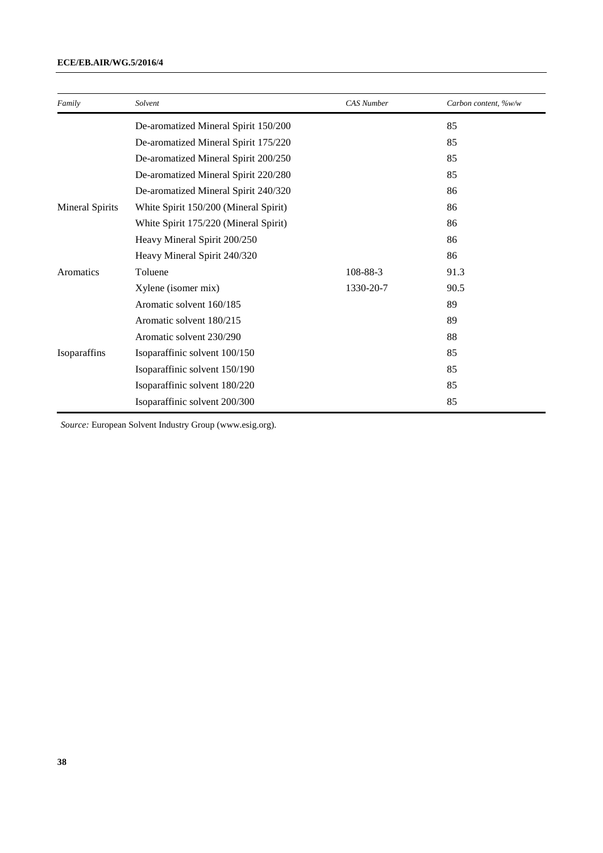### **ECE/EB.AIR/WG.5/2016/4**

| Family                 | Solvent                               | <b>CAS</b> Number | Carbon content, ‰/w |
|------------------------|---------------------------------------|-------------------|---------------------|
|                        | De-aromatized Mineral Spirit 150/200  |                   | 85                  |
|                        | De-aromatized Mineral Spirit 175/220  |                   | 85                  |
|                        | De-aromatized Mineral Spirit 200/250  |                   | 85                  |
|                        | De-aromatized Mineral Spirit 220/280  |                   | 85                  |
|                        | De-aromatized Mineral Spirit 240/320  |                   | 86                  |
| <b>Mineral Spirits</b> | White Spirit 150/200 (Mineral Spirit) |                   | 86                  |
|                        | White Spirit 175/220 (Mineral Spirit) |                   | 86                  |
|                        | Heavy Mineral Spirit 200/250          |                   | 86                  |
|                        | Heavy Mineral Spirit 240/320          |                   | 86                  |
| Aromatics              | Toluene                               | 108-88-3          | 91.3                |
|                        | Xylene (isomer mix)                   | 1330-20-7         | 90.5                |
|                        | Aromatic solvent 160/185              |                   | 89                  |
|                        | Aromatic solvent 180/215              |                   | 89                  |
|                        | Aromatic solvent 230/290              |                   | 88                  |
| Isoparaffins           | Isoparaffinic solvent 100/150         |                   | 85                  |
|                        | Isoparaffinic solvent 150/190         |                   | 85                  |
|                        | Isoparaffinic solvent 180/220         |                   | 85                  |
|                        | Isoparaffinic solvent 200/300         |                   | 85                  |

*Source:* European Solvent Industry Group [\(www.esig.org\)](http://www.esig.org/).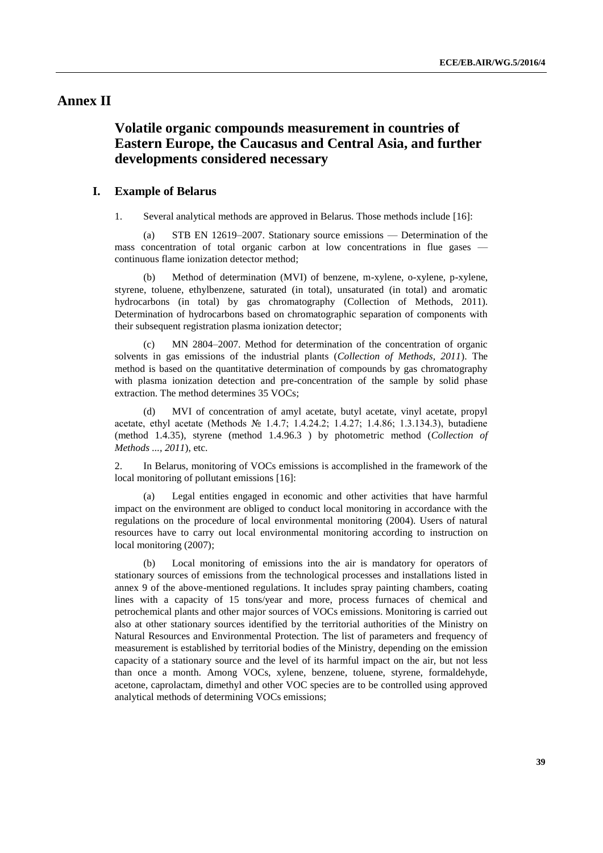# **Annex II**

# **Volatile organic compounds measurement in countries of Eastern Europe, the Caucasus and Central Asia, and further developments considered necessary**

#### **I. Example of Belarus**

1. Several analytical methods are approved in Belarus. Those methods include [16]:

(a) [STB EN 12619–2007.](http://tnpa.by/KartochkaDoc.php?UrlRN=203818&UrlIDGLOBAL=301217) Stationary source emissions — Determination of the mass concentration of total organic carbon at low concentrations in flue gases continuous flame ionization detector method;

(b) Method of determination (MVI) of benzene, m-xylene, o-xylene, p-xylene, styrene, toluene, ethylbenzene, saturated (in total), unsaturated (in total) and aromatic hydrocarbons (in total) by gas chromatography (Collection of Methods, 2011). Determination of hydrocarbons based on chromatographic separation of components with their subsequent registration plasma ionization detector;

(c) MN 2804–2007. Method for determination of the concentration of organic solvents in gas emissions of the industrial plants (*Collection of Methods, 2011*). The method is based on the quantitative determination of compounds by gas chromatography with plasma ionization detection and pre-concentration of the sample by solid phase extraction. The method determines 35 VOCs;

(d) MVI of concentration of amyl acetate, butyl acetate, vinyl acetate, propyl acetate, ethyl acetate (Methods № 1.4.7; 1.4.24.2; 1.4.27; 1.4.86; 1.3.134.3), butadiene (method 1.4.35), styrene (method 1.4.96.3 ) by photometric method (*Collection of Methods ..., 2011*), etc.

2. In Belarus, monitoring of VOCs emissions is accomplished in the framework of the local monitoring of pollutant emissions [16]:

Legal entities engaged in economic and other activities that have harmful impact on the environment are obliged to conduct local monitoring in accordance with the regulations on the procedure of local environmental monitoring (2004). Users of natural resources have to carry out local environmental monitoring according to instruction on local monitoring (2007);

(b) Local monitoring of emissions into the air is mandatory for operators of stationary sources of emissions from the technological processes and installations listed in annex 9 of the above-mentioned regulations. It includes spray painting chambers, coating lines with a capacity of 15 tons/year and more, process furnaces of chemical and petrochemical plants and other major sources of VOCs emissions. Monitoring is carried out also at other stationary sources identified by the territorial authorities of the Ministry on Natural Resources and Environmental Protection. The list of parameters and frequency of measurement is established by territorial bodies of the Ministry, depending on the emission capacity of a stationary source and the level of its harmful impact on the air, but not less than once a month. Among VOCs, xylene, benzene, toluene, styrene, formaldehyde, acetone, caprolactam, dimethyl and other VOC species are to be controlled using approved analytical methods of determining VOCs emissions;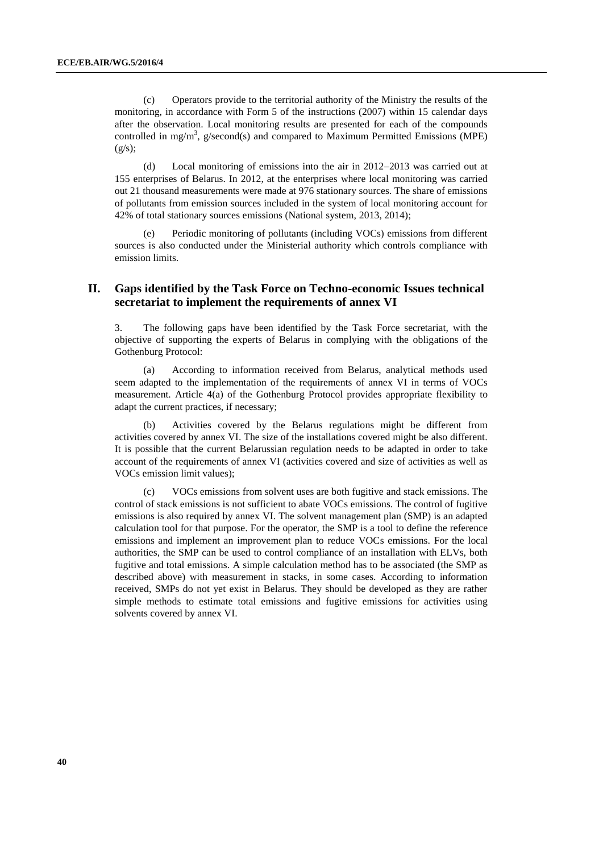(c) Operators provide to the territorial authority of the Ministry the results of the monitoring, in accordance with Form 5 of the instructions (2007) within 15 calendar days after the observation. Local monitoring results are presented for each of the compounds controlled in mg/m<sup>3</sup>, g/second(s) and compared to Maximum Permitted Emissions (MPE)  $(g/s);$ 

(d) Local monitoring of emissions into the air in 2012–2013 was carried out at 155 enterprises of Belarus. In 2012, at the enterprises where local monitoring was carried out 21 thousand measurements were made at 976 stationary sources. The share of emissions of pollutants from emission sources included in the system of local monitoring account for 42% of total stationary sources emissions (National system, 2013, 2014);

(e) Periodic monitoring of pollutants (including VOCs) emissions from different sources is also conducted under the Ministerial authority which controls compliance with emission limits.

### **II. Gaps identified by the Task Force on Techno-economic Issues technical secretariat to implement the requirements of annex VI**

3. The following gaps have been identified by the Task Force secretariat, with the objective of supporting the experts of Belarus in complying with the obligations of the Gothenburg Protocol:

(a) According to information received from Belarus, analytical methods used seem adapted to the implementation of the requirements of annex VI in terms of VOCs measurement. Article 4(a) of the Gothenburg Protocol provides appropriate flexibility to adapt the current practices, if necessary;

(b) Activities covered by the Belarus regulations might be different from activities covered by annex VI. The size of the installations covered might be also different. It is possible that the current Belarussian regulation needs to be adapted in order to take account of the requirements of annex VI (activities covered and size of activities as well as VOCs emission limit values);

(c) VOCs emissions from solvent uses are both fugitive and stack emissions. The control of stack emissions is not sufficient to abate VOCs emissions. The control of fugitive emissions is also required by annex VI. The solvent management plan (SMP) is an adapted calculation tool for that purpose. For the operator, the SMP is a tool to define the reference emissions and implement an improvement plan to reduce VOCs emissions. For the local authorities, the SMP can be used to control compliance of an installation with ELVs, both fugitive and total emissions. A simple calculation method has to be associated (the SMP as described above) with measurement in stacks, in some cases. According to information received, SMPs do not yet exist in Belarus. They should be developed as they are rather simple methods to estimate total emissions and fugitive emissions for activities using solvents covered by annex VI.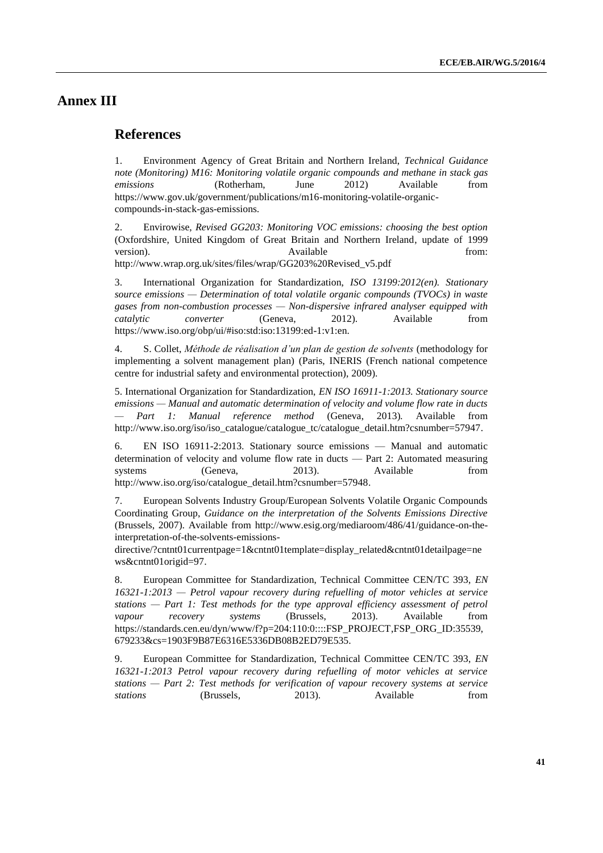# **Annex III**

### **References**

1. Environment Agency of Great Britain and Northern Ireland, *Technical Guidance note (Monitoring) M16: Monitoring volatile organic compounds and methane in stack gas emissions* (Rotherham, June 2012) Available from [https://www.gov.uk/government/publications/m16-monitoring-volatile-organic](https://www.gov.uk/government/publications/m16-monitoring-volatile-organic-compounds-in-stack-gas-emissions)[compounds-in-stack-gas-emissions.](https://www.gov.uk/government/publications/m16-monitoring-volatile-organic-compounds-in-stack-gas-emissions)

2. Envirowise, *Revised GG203: Monitoring VOC emissions: choosing the best option*  (Oxfordshire, United Kingdom of Great Britain and Northern Ireland, update of 1999 version). Available from:  $\alpha$  Available from: [http://www.wrap.org.uk/sites/files/wrap/GG203%20Revised\\_v5.pdf](http://www.wrap.org.uk/sites/files/wrap/GG203%20Revised_v5.pdf)

3. International Organization for Standardization, *ISO 13199:2012(en). Stationary source emissions — Determination of total volatile organic compounds (TVOCs) in waste gases from non-combustion processes — Non-dispersive infrared analyser equipped with catalytic converter* (Geneva, 2012). Available from [https://www.iso.org/obp/ui/#iso:std:iso:13199:ed-1:v1:en.](https://www.iso.org/obp/ui/#iso:std:iso:13199:ed-1:v1:en)

4. S. Collet, *Méthode de réalisation d'un plan de gestion de solvents* (methodology for implementing a solvent management plan) (Paris, INERIS (French national competence centre for industrial safety and environmental protection), 2009).

5. International Organization for Standardization, *EN ISO 16911-1:2013. Stationary source emissions — Manual and automatic determination of velocity and volume flow rate in ducts — Part 1: Manual reference method* (Geneva, 2013)*.* Available from [http://www.iso.org/iso/iso\\_catalogue/catalogue\\_tc/catalogue\\_detail.htm?csnumber=57947.](http://www.iso.org/iso/iso_catalogue/catalogue_tc/catalogue_detail.htm?csnumber=57947)

6. EN ISO 16911-2:2013. Stationary source emissions — Manual and automatic determination of velocity and volume flow rate in ducts — Part 2: Automated measuring systems (Geneva, 2013). Available from [http://www.iso.org/iso/catalogue\\_detail.htm?csnumber=57948.](http://www.iso.org/iso/catalogue_detail.htm?csnumber=57948)

7. European Solvents Industry Group/European Solvents Volatile Organic Compounds Coordinating Group, *Guidance on the interpretation of the Solvents Emissions Directive*  (Brussels, 2007). Available from [http://www.esig.org/mediaroom/486/41/guidance-on-the](http://www.esig.org/mediaroom/486/41/guidance-on-the-interpretation-of-the-solvents-emissions-directive/?cntnt01currentpage=1&cntnt01template=display_related&cntnt01detailpage=news&cntnt01origid=97)[interpretation-of-the-solvents-emissions-](http://www.esig.org/mediaroom/486/41/guidance-on-the-interpretation-of-the-solvents-emissions-directive/?cntnt01currentpage=1&cntnt01template=display_related&cntnt01detailpage=news&cntnt01origid=97)

[directive/?cntnt01currentpage=1&cntnt01template=display\\_related&cntnt01detailpage=ne](http://www.esig.org/mediaroom/486/41/guidance-on-the-interpretation-of-the-solvents-emissions-directive/?cntnt01currentpage=1&cntnt01template=display_related&cntnt01detailpage=news&cntnt01origid=97) [ws&cntnt01origid=97.](http://www.esig.org/mediaroom/486/41/guidance-on-the-interpretation-of-the-solvents-emissions-directive/?cntnt01currentpage=1&cntnt01template=display_related&cntnt01detailpage=news&cntnt01origid=97)

8. European Committee for Standardization, Technical Committee CEN/TC 393, *EN 16321-1:2013 — Petrol vapour recovery during refuelling of motor vehicles at service stations — Part 1: Test methods for the type approval efficiency assessment of petrol vapour recovery systems* (Brussels, 2013). Available from https://standards.cen.eu/dyn/www/f?p=204:110:0::::FSP\_PROJECT,FSP\_ORG\_ID:35539, 679233&cs=1903F9B87E6316E5336DB08B2ED79E535.

9. European Committee for Standardization, Technical Committee CEN/TC 393, *EN 16321-1:2013 Petrol vapour recovery during refuelling of motor vehicles at service stations — Part 2: Test methods for verification of vapour recovery systems at service stations* (Brussels, 2013). Available from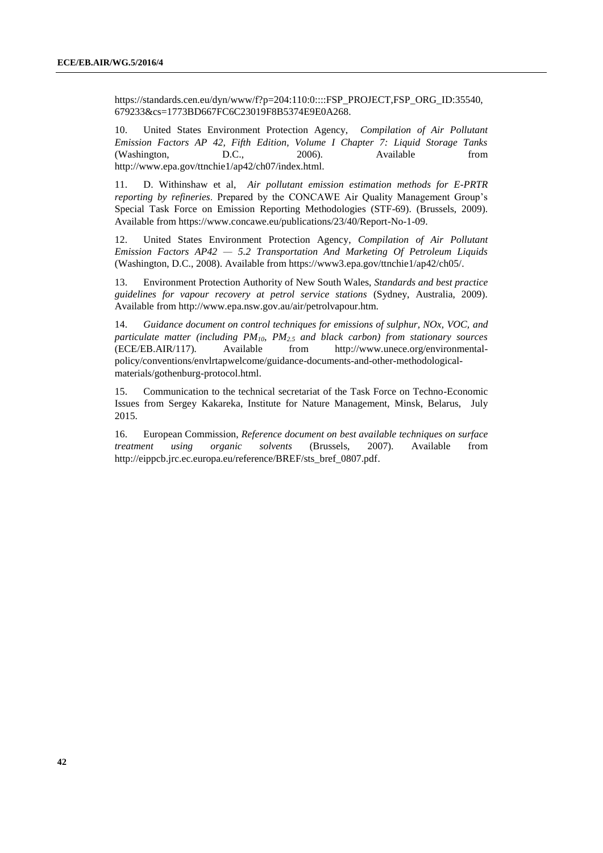https://standards.cen.eu/dyn/www/f?p=204:110:0::::FSP\_PROJECT,FSP\_ORG\_ID:35540, 679233&cs=1773BD667FC6C23019F8B5374E9E0A268.

10. United States Environment Protection Agency, *Compilation of Air Pollutant Emission Factors AP 42, Fifth Edition, Volume I Chapter 7: Liquid Storage Tanks*  (Washington, D.C., 2006). Available from [http://www.epa.gov/ttnchie1/ap42/ch07/index.html.](http://www.epa.gov/ttnchie1/ap42/ch07/index.html)

11. D. Withinshaw et al, *Air pollutant emission estimation methods for E-PRTR reporting by refineries*. Prepared by the CONCAWE Air Quality Management Group's Special Task Force on Emission Reporting Methodologies (STF-69). (Brussels, 2009). Available fro[m https://www.concawe.eu/publications/23/40/Report-No-1-09.](https://www.concawe.eu/publications/23/40/Report-No-1-09)

12. United States Environment Protection Agency, *Compilation of Air Pollutant Emission Factors AP42 — 5.2 Transportation And Marketing Of Petroleum Liquids* (Washington, D.C., 2008). Available fro[m https://www3.epa.gov/ttnchie1/ap42/ch05/.](https://www3.epa.gov/ttnchie1/ap42/ch05/)

13. Environment Protection Authority of New South Wales, *Standards and best practice guidelines for vapour recovery at petrol service stations* (Sydney, Australia, 2009). Available from http://www.epa.nsw.gov.au/air/petrolvapour.htm*.*

14. *Guidance document on control techniques for emissions of sulphur, NOx, VOC, and particulate matter (including PM10, PM2.5 and black carbon) from stationary sources* (ECE/EB.AIR/117)*.* Available from [http://www.unece.org/environmental](http://www.unece.org/environmental-policy/conventions/envlrtapwelcome/guidance-documents-and-other-methodological-materials/gothenburg-protocol.html)[policy/conventions/envlrtapwelcome/guidance-documents-and-other-methodological](http://www.unece.org/environmental-policy/conventions/envlrtapwelcome/guidance-documents-and-other-methodological-materials/gothenburg-protocol.html)[materials/gothenburg-protocol.html.](http://www.unece.org/environmental-policy/conventions/envlrtapwelcome/guidance-documents-and-other-methodological-materials/gothenburg-protocol.html)

15. Communication to the technical secretariat of the Task Force on Techno-Economic Issues from Sergey Kakareka, Institute for Nature Management, Minsk, Belarus, July 2015.

16. European Commission, *Reference document on best available techniques on surface treatment using organic solvents* (Brussels, 2007)*.* Available from [http://eippcb.jrc.ec.europa.eu/reference/BREF/sts\\_bref\\_0807.pdf.](http://eippcb.jrc.ec.europa.eu/reference/BREF/sts_bref_0807.pdf)